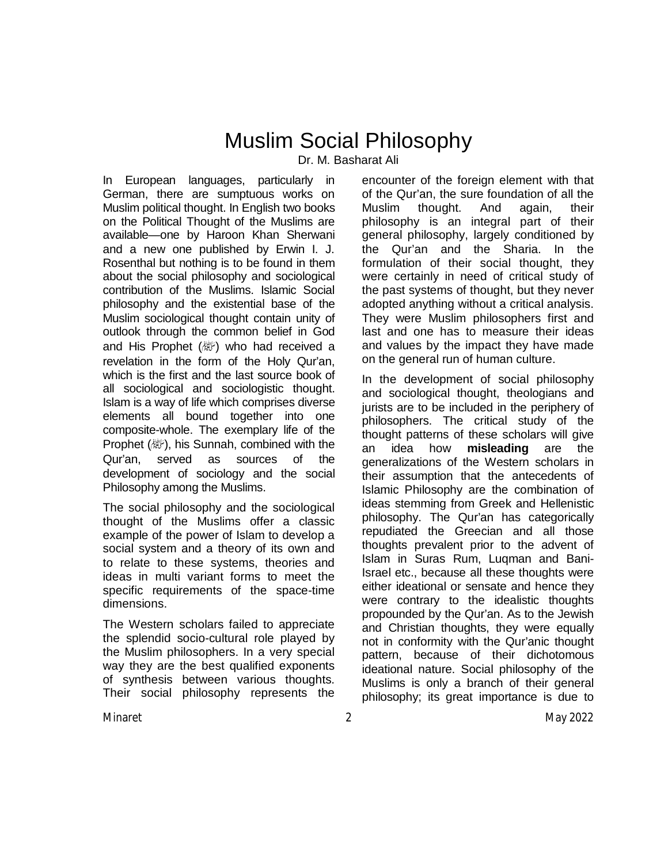# Muslim Social Philosophy

Dr. M. Basharat Ali

In European languages, particularly in German, there are sumptuous works on Muslim political thought. In English two books on the Political Thought of the Muslims are available—one by Haroon Khan Sherwani and a new one published by Erwin I. J. Rosenthal but nothing is to be found in them about the social philosophy and sociological contribution of the Muslims. Islamic Social philosophy and the existential base of the Muslim sociological thought contain unity of outlook through the common belief in God and His Prophet ( / who had received a revelation in the form of the Holy Qur'an, which is the first and the last source book of all sociological and sociologistic thought. Islam is a way of life which comprises diverse elements all bound together into one composite-whole. The exemplary life of the Prophet ( ), his Sunnah, combined with the Qur'an, served as sources of the development of sociology and the social Philosophy among the Muslims.

The social philosophy and the sociological thought of the Muslims offer a classic example of the power of Islam to develop a social system and a theory of its own and to relate to these systems, theories and ideas in multi variant forms to meet the specific requirements of the space-time dimensions.

The Western scholars failed to appreciate the splendid socio-cultural role played by the Muslim philosophers. In a very special way they are the best qualified exponents of synthesis between various thoughts. Their social philosophy represents the

encounter of the foreign element with that of the Qur'an, the sure foundation of all the Muslim thought. And again, their philosophy is an integral part of their general philosophy, largely conditioned by the Qur'an and the Sharia. In the formulation of their social thought, they were certainly in need of critical study of the past systems of thought, but they never adopted anything without a critical analysis. They were Muslim philosophers first and last and one has to measure their ideas and values by the impact they have made on the general run of human culture.

In the development of social philosophy and sociological thought, theologians and jurists are to be included in the periphery of philosophers. The critical study of the thought patterns of these scholars will give an idea how **misleading** are the generalizations of the Western scholars in their assumption that the antecedents of Islamic Philosophy are the combination of ideas stemming from Greek and Hellenistic philosophy. The Qur'an has categorically repudiated the Greecian and all those thoughts prevalent prior to the advent of Islam in Suras Rum, Luqman and Bani-Israel etc., because all these thoughts were either ideational or sensate and hence they were contrary to the idealistic thoughts propounded by the Qur'an. As to the Jewish and Christian thoughts, they were equally not in conformity with the Qur'anic thought pattern, because of their dichotomous ideational nature. Social philosophy of the Muslims is only a branch of their general philosophy; its great importance is due to

Minaret 2 May 2022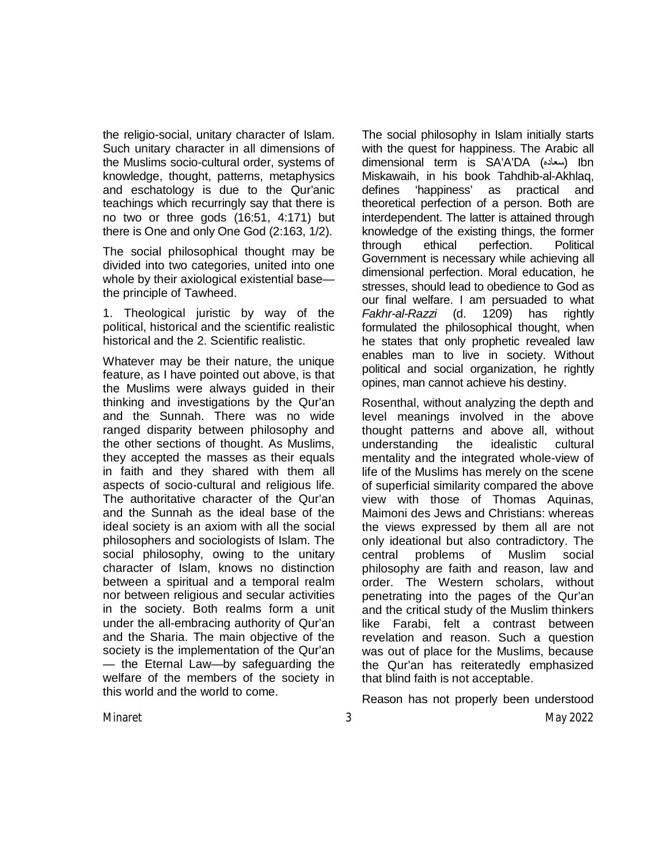the religio-social, unitary character of Islam. Such unitary character in all dimensions of the Muslims socio-cultural order, systems of knowledge, thought, patterns, metaphysics and eschatology is due to the Qur'anic teachings which recurringly say that there is no two or three gods (16:51, 4:171) but there is One and only One God (2:163, 1/2).

The social philosophical thought may be divided into two categories, united into one whole by their axiological existential base the principle of Tawheed.

1. Theological juristic by way of the political, historical and the scientific realistic historical and the 2. Scientific realistic.

Whatever may be their nature, the unique feature, as I have pointed out above, is that the Muslims were always guided in their thinking and investigations by the Qur'an and the Sunnah. There was no wide ranged disparity between philosophy and the other sections of thought. As Muslims, they accepted the masses as their equals in faith and they shared with them all aspects of socio-cultural and religious life. The authoritative character of the Qur'an and the Sunnah as the ideal base of the ideal society is an axiom with all the social philosophers and sociologists of Islam. The social philosophy, owing to the unitary character of Islam, knows no distinction between a spiritual and a temporal realm nor between religious and secular activities in the society. Both realms form a unit under the all-embracing authority of Qur'an and the Sharia. The main objective of the society is the implementation of the Qur'an — the Eternal Law—by safeguarding the welfare of the members of the society in this world and the world to come.

The social philosophy in Islam initially starts with the quest for happiness. The Arabic all dimensional term is SA'A'DA (سعاده (Ibn Miskawaih, in his book Tahdhib-al-Akhlaq, defines 'happiness' as practical and theoretical perfection of a person. Both are interdependent. The latter is attained through knowledge of the existing things, the former through ethical perfection. Political Government is necessary while achieving all dimensional perfection. Moral education, he stresses, should lead to obedience to God as our final welfare. I am persuaded to what *Fakhr-al-Razzi* (d. 1209) has rightly formulated the philosophical thought, when he states that only prophetic revealed law enables man to live in society. Without political and social organization, he rightly opines, man cannot achieve his destiny.

Rosenthal, without analyzing the depth and level meanings involved in the above thought patterns and above all, without understanding the idealistic cultural mentality and the integrated whole-view of life of the Muslims has merely on the scene of superficial similarity compared the above view with those of Thomas Aquinas, Maimoni des Jews and Christians: whereas the views expressed by them all are not only ideational but also contradictory. The central problems of Muslim social philosophy are faith and reason, law and order. The Western scholars, without penetrating into the pages of the Qur'an and the critical study of the Muslim thinkers like Farabi, felt a contrast between revelation and reason. Such a question was out of place for the Muslims, because the Qur'an has reiteratedly emphasized that blind faith is not acceptable.

Reason has not properly been understood

Minaret 3 May 2022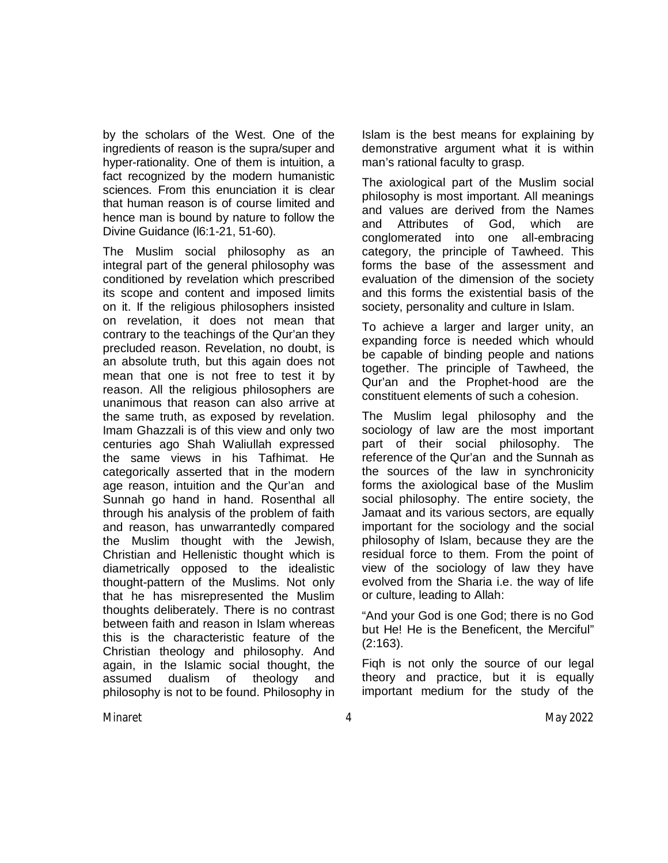by the scholars of the West. One of the ingredients of reason is the supra/super and hyper-rationality. One of them is intuition, a fact recognized by the modern humanistic sciences. From this enunciation it is clear that human reason is of course limited and hence man is bound by nature to follow the Divine Guidance (l6:1-21, 51-60).

The Muslim social philosophy as an integral part of the general philosophy was conditioned by revelation which prescribed its scope and content and imposed limits on it. If the religious philosophers insisted on revelation, it does not mean that contrary to the teachings of the Qur'an they precluded reason. Revelation, no doubt, is an absolute truth, but this again does not mean that one is not free to test it by reason. All the religious philosophers are unanimous that reason can also arrive at the same truth, as exposed by revelation. Imam Ghazzali is of this view and only two centuries ago Shah Waliullah expressed the same views in his Tafhimat. He categorically asserted that in the modern age reason, intuition and the Qur'an and Sunnah go hand in hand. Rosenthal all through his analysis of the problem of faith and reason, has unwarrantedly compared the Muslim thought with the Jewish, Christian and Hellenistic thought which is diametrically opposed to the idealistic thought-pattern of the Muslims. Not only that he has misrepresented the Muslim thoughts deliberately. There is no contrast between faith and reason in Islam whereas this is the characteristic feature of the Christian theology and philosophy. And again, in the Islamic social thought, the assumed dualism of theology and philosophy is not to be found. Philosophy in

Islam is the best means for explaining by demonstrative argument what it is within man's rational faculty to grasp.

The axiological part of the Muslim social philosophy is most important. All meanings and values are derived from the Names and Attributes of God, which are conglomerated into one all-embracing category, the principle of Tawheed. This forms the base of the assessment and evaluation of the dimension of the society and this forms the existential basis of the society, personality and culture in Islam.

To achieve a larger and larger unity, an expanding force is needed which whould be capable of binding people and nations together. The principle of Tawheed, the Qur'an and the Prophet-hood are the constituent elements of such a cohesion.

The Muslim legal philosophy and the sociology of law are the most important part of their social philosophy. The reference of the Qur'an and the Sunnah as the sources of the law in synchronicity forms the axiological base of the Muslim social philosophy. The entire society, the Jamaat and its various sectors, are equally important for the sociology and the social philosophy of Islam, because they are the residual force to them. From the point of view of the sociology of law they have evolved from the Sharia i.e. the way of life or culture, leading to Allah:

"And your God is one God; there is no God but He! He is the Beneficent, the Merciful" (2:163).

Fiqh is not only the source of our legal theory and practice, but it is equally important medium for the study of the

Minaret 4 May 2022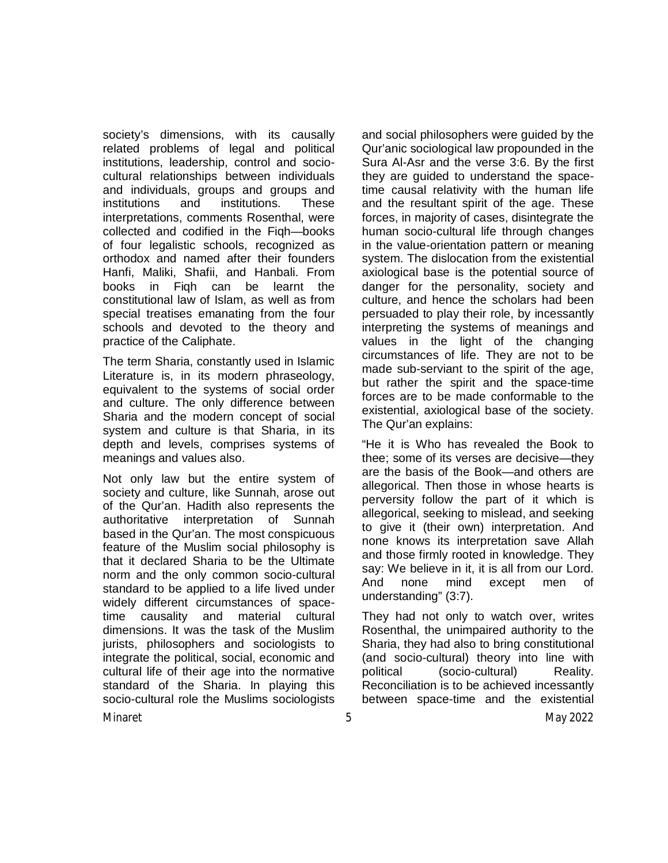society's dimensions, with its causally related problems of legal and political institutions, leadership, control and sociocultural relationships between individuals and individuals, groups and groups and institutions and institutions. These interpretations, comments Rosenthal, were collected and codified in the Fiqh—books of four legalistic schools, recognized as orthodox and named after their founders Hanfi, Maliki, Shafii, and Hanbali. From books in Fiqh can be learnt the constitutional law of Islam, as well as from special treatises emanating from the four schools and devoted to the theory and practice of the Caliphate.

The term Sharia, constantly used in Islamic Literature is, in its modern phraseology, equivalent to the systems of social order and culture. The only difference between Sharia and the modern concept of social system and culture is that Sharia, in its depth and levels, comprises systems of meanings and values also.

Not only law but the entire system of society and culture, like Sunnah, arose out of the Qur'an. Hadith also represents the authoritative interpretation of Sunnah based in the Qur'an. The most conspicuous feature of the Muslim social philosophy is that it declared Sharia to be the Ultimate norm and the only common socio-cultural standard to be applied to a life lived under widely different circumstances of spacetime causality and material cultural dimensions. It was the task of the Muslim jurists, philosophers and sociologists to integrate the political, social, economic and cultural life of their age into the normative standard of the Sharia. In playing this socio-cultural role the Muslims sociologists

and social philosophers were guided by the Qur'anic sociological law propounded in the Sura Al-Asr and the verse 3:6. By the first they are guided to understand the spacetime causal relativity with the human life and the resultant spirit of the age. These forces, in majority of cases, disintegrate the human socio-cultural life through changes in the value-orientation pattern or meaning system. The dislocation from the existential axiological base is the potential source of danger for the personality, society and culture, and hence the scholars had been persuaded to play their role, by incessantly interpreting the systems of meanings and values in the light of the changing circumstances of life. They are not to be made sub-serviant to the spirit of the age, but rather the spirit and the space-time forces are to be made conformable to the existential, axiological base of the society. The Qur'an explains:

"He it is Who has revealed the Book to thee; some of its verses are decisive—they are the basis of the Book—and others are allegorical. Then those in whose hearts is perversity follow the part of it which is allegorical, seeking to mislead, and seeking to give it (their own) interpretation. And none knows its interpretation save Allah and those firmly rooted in knowledge. They say: We believe in it, it is all from our Lord. And none mind except men of understanding" (3:7).

They had not only to watch over, writes Rosenthal, the unimpaired authority to the Sharia, they had also to bring constitutional (and socio-cultural) theory into line with political (socio-cultural) Reality. Reconciliation is to be achieved incessantly between space-time and the existential

Minaret 5 May 2022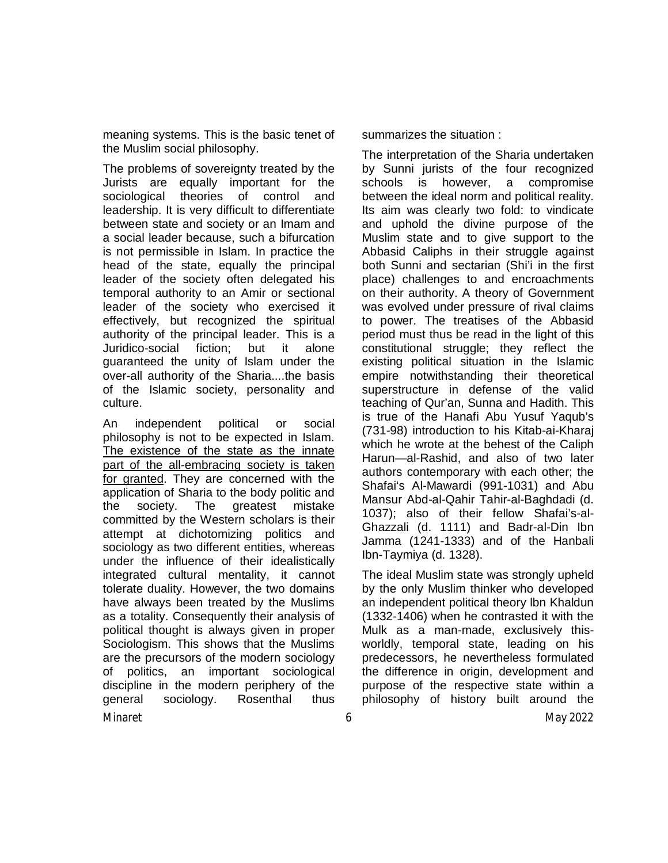meaning systems. This is the basic tenet of the Muslim social philosophy.

The problems of sovereignty treated by the Jurists are equally important for the sociological theories of control and leadership. It is very difficult to differentiate between state and society or an Imam and a social leader because, such a bifurcation is not permissible in Islam. In practice the head of the state, equally the principal leader of the society often delegated his temporal authority to an Amir or sectional leader of the society who exercised it effectively, but recognized the spiritual authority of the principal leader. This is a Juridico-social fiction; but it alone guaranteed the unity of Islam under the over-all authority of the Sharia....the basis of the Islamic society, personality and culture.

Minaret 6 May 2022 An independent political or social philosophy is not to be expected in Islam. The existence of the state as the innate part of the all-embracing society is taken for granted. They are concerned with the application of Sharia to the body politic and the society. The greatest mistake committed by the Western scholars is their attempt at dichotomizing politics and sociology as two different entities, whereas under the influence of their idealistically integrated cultural mentality, it cannot tolerate duality. However, the two domains have always been treated by the Muslims as a totality. Consequently their analysis of political thought is always given in proper Sociologism. This shows that the Muslims are the precursors of the modern sociology of politics, an important sociological discipline in the modern periphery of the general sociology. Rosenthal thus

summarizes the situation :

The interpretation of the Sharia undertaken by Sunni jurists of the four recognized schools is however, a compromise between the ideal norm and political reality. Its aim was clearly two fold: to vindicate and uphold the divine purpose of the Muslim state and to give support to the Abbasid Caliphs in their struggle against both Sunni and sectarian (Shi'i in the first place) challenges to and encroachments on their authority. A theory of Government was evolved under pressure of rival claims to power. The treatises of the Abbasid period must thus be read in the light of this constitutional struggle; they reflect the existing political situation in the Islamic empire notwithstanding their theoretical superstructure in defense of the valid teaching of Qur'an, Sunna and Hadith. This is true of the Hanafi Abu Yusuf Yaqub's (731-98) introduction to his Kitab-ai-Kharaj which he wrote at the behest of the Caliph Harun—al-Rashid, and also of two later authors contemporary with each other; the Shafai's Al-Mawardi (991-1031) and Abu Mansur Abd-al-Qahir Tahir-al-Baghdadi (d. 1037); also of their fellow Shafai's-al-Ghazzali (d. 1111) and Badr-al-Din Ibn Jamma (1241-1333) and of the Hanbali Ibn-Taymiya (d. 1328).

The ideal Muslim state was strongly upheld by the only Muslim thinker who developed an independent political theory lbn Khaldun (1332-1406) when he contrasted it with the Mulk as a man-made, exclusively thisworldly, temporal state, leading on his predecessors, he nevertheless formulated the difference in origin, development and purpose of the respective state within a philosophy of history built around the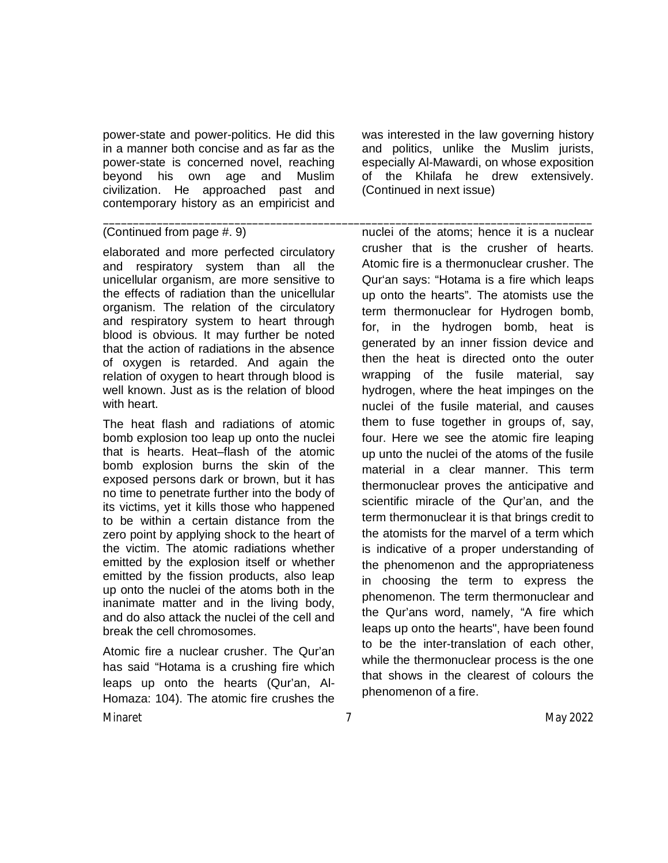power-state and power-politics. He did this in a manner both concise and as far as the power-state is concerned novel, reaching beyond his own age and Muslim civilization. He approached past and contemporary history as an empiricist and

#### (Continued from page #. 9)

elaborated and more perfected circulatory and respiratory system than all the unicellular organism, are more sensitive to the effects of radiation than the unicellular organism. The relation of the circulatory and respiratory system to heart through blood is obvious. It may further be noted that the action of radiations in the absence of oxygen is retarded. And again the relation of oxygen to heart through blood is well known. Just as is the relation of blood with heart.

The heat flash and radiations of atomic bomb explosion too leap up onto the nuclei that is hearts. Heat–flash of the atomic bomb explosion burns the skin of the exposed persons dark or brown, but it has no time to penetrate further into the body of its victims, yet it kills those who happened to be within a certain distance from the zero point by applying shock to the heart of the victim. The atomic radiations whether emitted by the explosion itself or whether emitted by the fission products, also leap up onto the nuclei of the atoms both in the inanimate matter and in the living body, and do also attack the nuclei of the cell and break the cell chromosomes.

Minaret 7 May 2022 Atomic fire a nuclear crusher. The Qur'an has said "Hotama is a crushing fire which leaps up onto the hearts (Qur'an, Al-Homaza: 104). The atomic fire crushes the

was interested in the law governing history and politics, unlike the Muslim jurists, especially Al-Mawardi, on whose exposition of the Khilafa he drew extensively. (Continued in next issue)

nuclei of the atoms; hence it is a nuclear crusher that is the crusher of hearts. Atomic fire is a thermonuclear crusher. The Qur'an says: "Hotama is a fire which leaps up onto the hearts". The atomists use the term thermonuclear for Hydrogen bomb, for, in the hydrogen bomb, heat is generated by an inner fission device and then the heat is directed onto the outer wrapping of the fusile material, say hydrogen, where the heat impinges on the nuclei of the fusile material, and causes them to fuse together in groups of, say, four. Here we see the atomic fire leaping up unto the nuclei of the atoms of the fusile material in a clear manner. This term thermonuclear proves the anticipative and scientific miracle of the Qur'an, and the term thermonuclear it is that brings credit to the atomists for the marvel of a term which is indicative of a proper understanding of the phenomenon and the appropriateness in choosing the term to express the phenomenon. The term thermonuclear and the Qur'ans word, namely, "A fire which leaps up onto the hearts", have been found to be the inter-translation of each other, while the thermonuclear process is the one that shows in the clearest of colours the phenomenon of a fire.

\_\_\_\_\_\_\_\_\_\_\_\_\_\_\_\_\_\_\_\_\_\_\_\_\_\_\_\_\_\_\_\_\_\_\_\_\_\_\_\_\_\_\_\_\_\_\_\_\_\_\_\_\_\_\_\_\_\_\_\_\_\_\_\_\_\_\_\_\_\_\_\_\_\_\_\_\_\_\_\_\_\_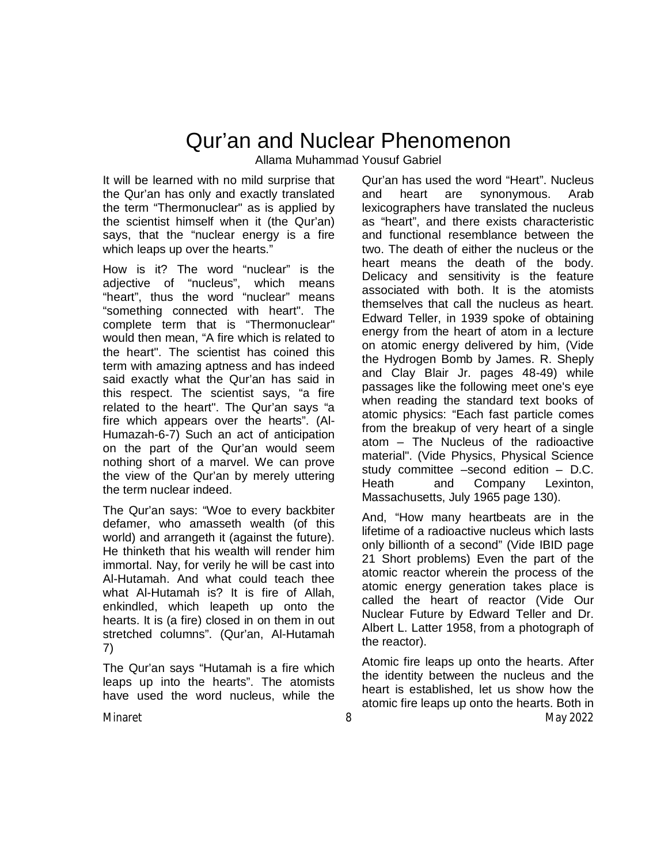# Qur'an and Nuclear Phenomenon

Allama Muhammad Yousuf Gabriel

It will be learned with no mild surprise that the Qur'an has only and exactly translated the term "Thermonuclear" as is applied by the scientist himself when it (the Qur'an) says, that the "nuclear energy is a fire which leaps up over the hearts."

How is it? The word "nuclear" is the adjective of "nucleus", which means "heart", thus the word "nuclear" means "something connected with heart". The complete term that is "Thermonuclear" would then mean, "A fire which is related to the heart". The scientist has coined this term with amazing aptness and has indeed said exactly what the Qur'an has said in this respect. The scientist says, "a fire related to the heart". The Qur'an says "a fire which appears over the hearts". (Al-Humazah-6-7) Such an act of anticipation on the part of the Qur'an would seem nothing short of a marvel. We can prove the view of the Qur'an by merely uttering the term nuclear indeed.

The Qur'an says: "Woe to every backbiter defamer, who amasseth wealth (of this world) and arrangeth it (against the future). He thinketh that his wealth will render him immortal. Nay, for verily he will be cast into Al-Hutamah. And what could teach thee what Al-Hutamah is? It is fire of Allah, enkindled, which leapeth up onto the hearts. It is (a fire) closed in on them in out stretched columns". (Qur'an, Al-Hutamah 7)

The Qur'an says "Hutamah is a fire which leaps up into the hearts". The atomists have used the word nucleus, while the

Qur'an has used the word "Heart". Nucleus and heart are synonymous. Arab lexicographers have translated the nucleus as "heart", and there exists characteristic and functional resemblance between the two. The death of either the nucleus or the heart means the death of the body. Delicacy and sensitivity is the feature associated with both. It is the atomists themselves that call the nucleus as heart. Edward Teller, in 1939 spoke of obtaining energy from the heart of atom in a lecture on atomic energy delivered by him, (Vide the Hydrogen Bomb by James. R. Sheply and Clay Blair Jr. pages 48-49) while passages like the following meet one's eye when reading the standard text books of atomic physics: "Each fast particle comes from the breakup of very heart of a single atom – The Nucleus of the radioactive material". (Vide Physics, Physical Science study committee –second edition – D.C. Heath and Company Lexinton, Massachusetts, July 1965 page 130).

And, "How many heartbeats are in the lifetime of a radioactive nucleus which lasts only billionth of a second" (Vide IBID page 21 Short problems) Even the part of the atomic reactor wherein the process of the atomic energy generation takes place is called the heart of reactor (Vide Our Nuclear Future by Edward Teller and Dr. Albert L. Latter 1958, from a photograph of the reactor).

Minaret 8 May 2022 Atomic fire leaps up onto the hearts. After the identity between the nucleus and the heart is established, let us show how the atomic fire leaps up onto the hearts. Both in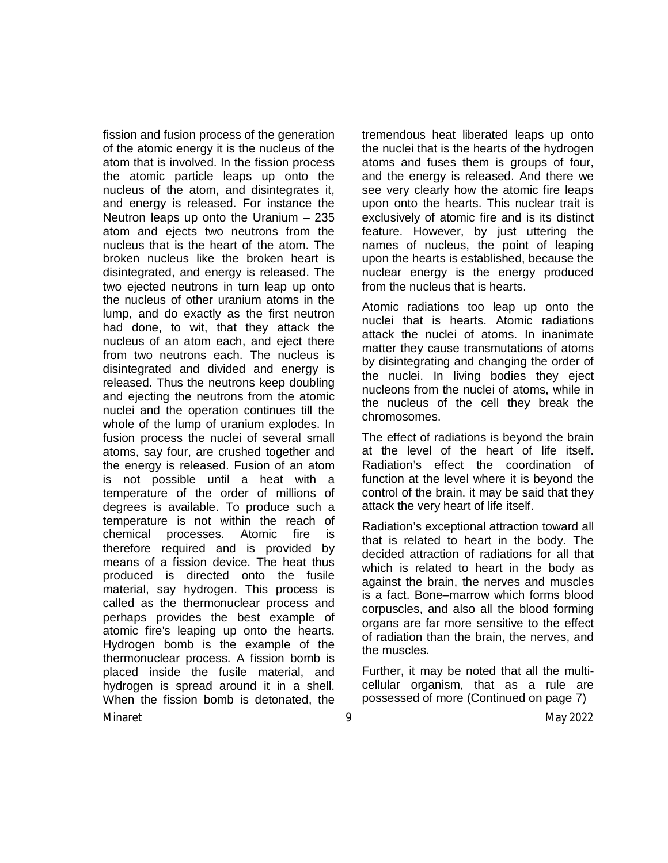fission and fusion process of the generation of the atomic energy it is the nucleus of the atom that is involved. In the fission process the atomic particle leaps up onto the nucleus of the atom, and disintegrates it, and energy is released. For instance the Neutron leaps up onto the Uranium – 235 atom and ejects two neutrons from the nucleus that is the heart of the atom. The broken nucleus like the broken heart is disintegrated, and energy is released. The two ejected neutrons in turn leap up onto the nucleus of other uranium atoms in the lump, and do exactly as the first neutron had done, to wit, that they attack the nucleus of an atom each, and eject there from two neutrons each. The nucleus is disintegrated and divided and energy is released. Thus the neutrons keep doubling and ejecting the neutrons from the atomic nuclei and the operation continues till the whole of the lump of uranium explodes. In fusion process the nuclei of several small atoms, say four, are crushed together and the energy is released. Fusion of an atom is not possible until a heat with a temperature of the order of millions of degrees is available. To produce such a temperature is not within the reach of chemical processes. Atomic fire is therefore required and is provided by means of a fission device. The heat thus produced is directed onto the fusile material, say hydrogen. This process is called as the thermonuclear process and perhaps provides the best example of atomic fire's leaping up onto the hearts. Hydrogen bomb is the example of the thermonuclear process. A fission bomb is placed inside the fusile material, and hydrogen is spread around it in a shell. When the fission bomb is detonated, the tremendous heat liberated leaps up onto the nuclei that is the hearts of the hydrogen atoms and fuses them is groups of four, and the energy is released. And there we see very clearly how the atomic fire leaps upon onto the hearts. This nuclear trait is exclusively of atomic fire and is its distinct feature. However, by just uttering the names of nucleus, the point of leaping upon the hearts is established, because the nuclear energy is the energy produced from the nucleus that is hearts.

Atomic radiations too leap up onto the nuclei that is hearts. Atomic radiations attack the nuclei of atoms. In inanimate matter they cause transmutations of atoms by disintegrating and changing the order of the nuclei. In living bodies they eject nucleons from the nuclei of atoms, while in the nucleus of the cell they break the chromosomes.

The effect of radiations is beyond the brain at the level of the heart of life itself. Radiation's effect the coordination of function at the level where it is beyond the control of the brain. it may be said that they attack the very heart of life itself.

Radiation's exceptional attraction toward all that is related to heart in the body. The decided attraction of radiations for all that which is related to heart in the body as against the brain, the nerves and muscles is a fact. Bone–marrow which forms blood corpuscles, and also all the blood forming organs are far more sensitive to the effect of radiation than the brain, the nerves, and the muscles.

Further, it may be noted that all the multicellular organism, that as a rule are possessed of more (Continued on page 7)

Minaret 9 May 2022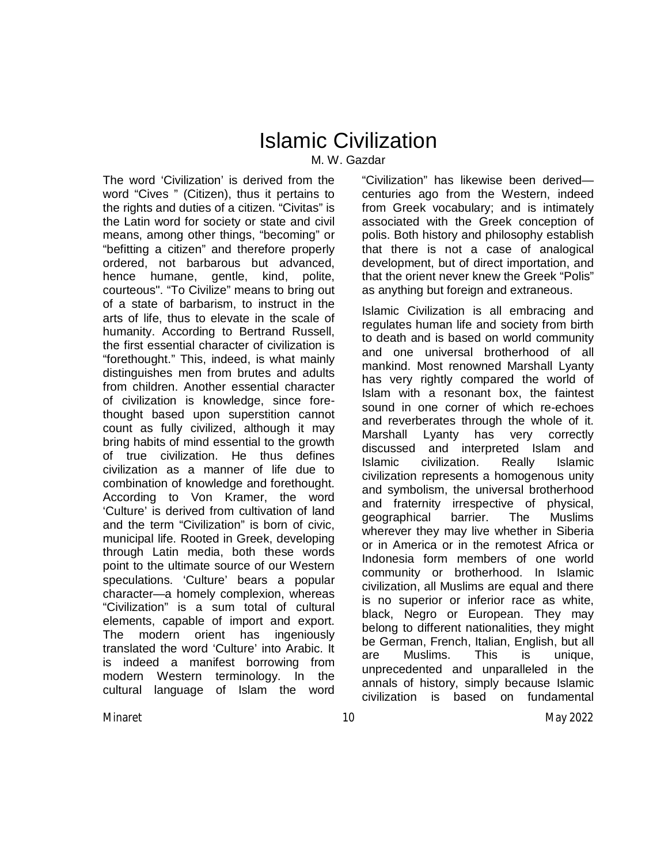## Islamic Civilization

M. W. Gazdar

The word 'Civilization' is derived from the word "Cives " (Citizen), thus it pertains to the rights and duties of a citizen. "Civitas" is the Latin word for society or state and civil means, among other things, "becoming" or "befitting a citizen" and therefore properly ordered, not barbarous but advanced, hence humane, gentle, kind, polite, courteous". "To Civilize" means to bring out of a state of barbarism, to instruct in the arts of life, thus to elevate in the scale of humanity. According to Bertrand Russell, the first essential character of civilization is "forethought." This, indeed, is what mainly distinguishes men from brutes and adults from children. Another essential character of civilization is knowledge, since forethought based upon superstition cannot count as fully civilized, although it may bring habits of mind essential to the growth of true civilization. He thus defines civilization as a manner of life due to combination of knowledge and forethought. According to Von Kramer, the word 'Culture' is derived from cultivation of land and the term "Civilization" is born of civic, municipal life. Rooted in Greek, developing through Latin media, both these words point to the ultimate source of our Western speculations. 'Culture' bears a popular character—a homely complexion, whereas "Civilization" is a sum total of cultural elements, capable of import and export. The modern orient has ingeniously translated the word 'Culture' into Arabic. It is indeed a manifest borrowing from modern Western terminology. In the cultural language of Islam the word

"Civilization" has likewise been derived centuries ago from the Western, indeed from Greek vocabulary; and is intimately associated with the Greek conception of polis. Both history and philosophy establish that there is not a case of analogical development, but of direct importation, and that the orient never knew the Greek "Polis" as anything but foreign and extraneous.

Islamic Civilization is all embracing and regulates human life and society from birth to death and is based on world community and one universal brotherhood of all mankind. Most renowned Marshall Lyanty has very rightly compared the world of Islam with a resonant box, the faintest sound in one corner of which re-echoes and reverberates through the whole of it. Marshall Lyanty has very correctly discussed and interpreted Islam and Islamic civilization. Really Islamic civilization represents a homogenous unity and symbolism, the universal brotherhood and fraternity irrespective of physical, geographical barrier. The Muslims wherever they may live whether in Siberia or in America or in the remotest Africa or Indonesia form members of one world community or brotherhood. In Islamic civilization, all Muslims are equal and there is no superior or inferior race as white, black, Negro or European. They may belong to different nationalities, they might be German, French, Italian, English, but all are Muslims. This is unique, unprecedented and unparalleled in the annals of history, simply because Islamic civilization is based on fundamental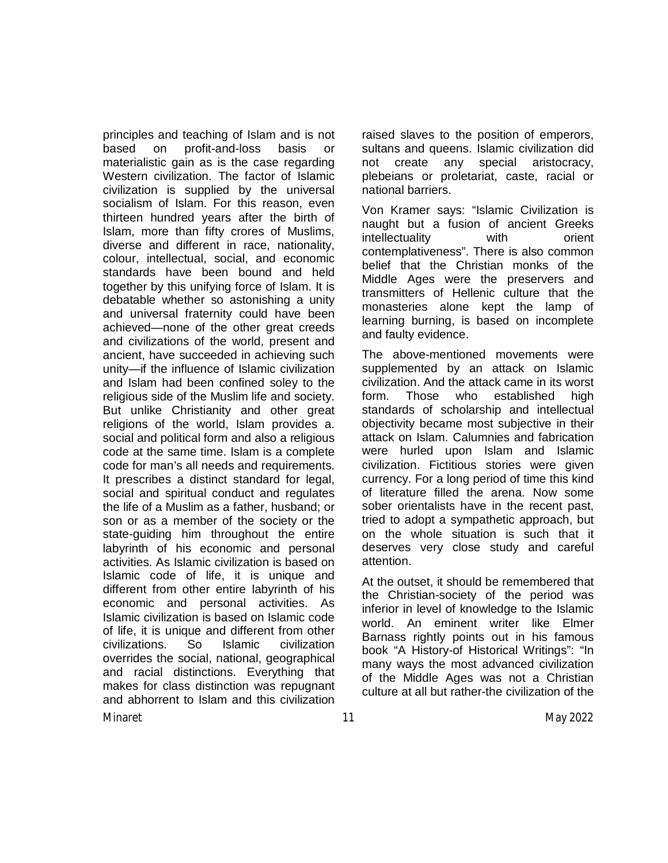principles and teaching of Islam and is not based on profit-and-loss basis or materialistic gain as is the case regarding Western civilization. The factor of Islamic civilization is supplied by the universal socialism of Islam. For this reason, even thirteen hundred years after the birth of Islam, more than fifty crores of Muslims, diverse and different in race, nationality, colour, intellectual, social, and economic standards have been bound and held together by this unifying force of Islam. It is debatable whether so astonishing a unity and universal fraternity could have been achieved—none of the other great creeds and civilizations of the world, present and ancient, have succeeded in achieving such unity—if the influence of Islamic civilization and Islam had been confined soley to the religious side of the Muslim life and society. But unlike Christianity and other great religions of the world, Islam provides a. social and political form and also a religious code at the same time. Islam is a complete code for man's all needs and requirements. It prescribes a distinct standard for legal, social and spiritual conduct and regulates the life of a Muslim as a father, husband; or son or as a member of the society or the state-guiding him throughout the entire labyrinth of his economic and personal activities. As Islamic civilization is based on Islamic code of life, it is unique and different from other entire labyrinth of his economic and personal activities. As Islamic civilization is based on Islamic code of life, it is unique and different from other civilizations. So Islamic civilization overrides the social, national, geographical and racial distinctions. Everything that makes for class distinction was repugnant and abhorrent to Islam and this civilization

raised slaves to the position of emperors, sultans and queens. Islamic civilization did not create any special aristocracy, plebeians or proletariat, caste, racial or national barriers.

Von Kramer says: "Islamic Civilization is naught but a fusion of ancient Greeks intellectuality with orient contemplativeness". There is also common belief that the Christian monks of the Middle Ages were the preservers and transmitters of Hellenic culture that the monasteries alone kept the lamp of learning burning, is based on incomplete and faulty evidence.

The above-mentioned movements were supplemented by an attack on Islamic civilization. And the attack came in its worst form. Those who established high standards of scholarship and intellectual objectivity became most subjective in their attack on Islam. Calumnies and fabrication were hurled upon Islam and Islamic civilization. Fictitious stories were given currency. For a long period of time this kind of literature filled the arena. Now some sober orientalists have in the recent past, tried to adopt a sympathetic approach, but on the whole situation is such that it deserves very close study and careful attention.

At the outset, it should be remembered that the Christian-society of the period was inferior in level of knowledge to the Islamic world. An eminent writer like Elmer Barnass rightly points out in his famous book "A History-of Historical Writings": "In many ways the most advanced civilization of the Middle Ages was not a Christian culture at all but rather-the civilization of the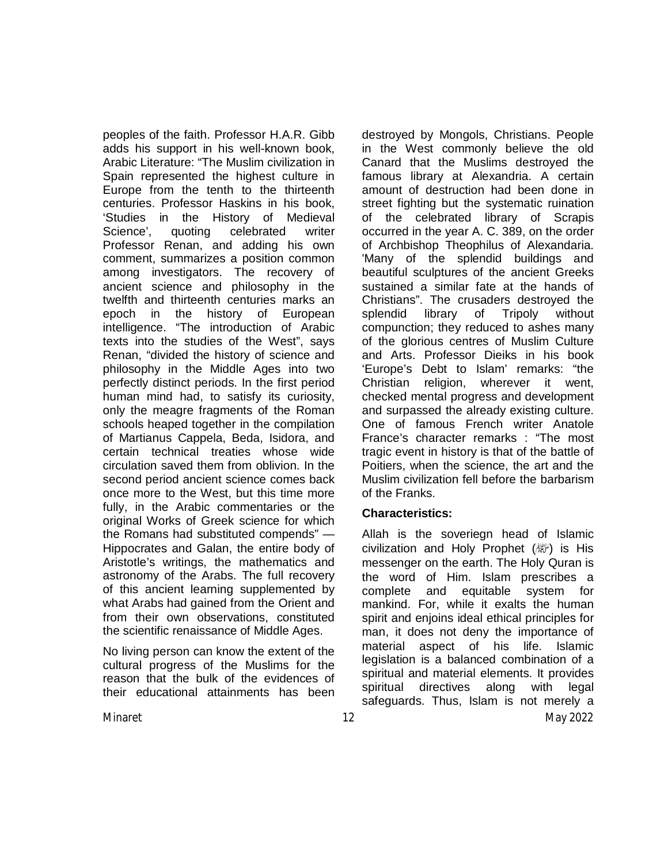peoples of the faith. Professor H.A.R. Gibb adds his support in his well-known book, Arabic Literature: "The Muslim civilization in Spain represented the highest culture in Europe from the tenth to the thirteenth centuries. Professor Haskins in his book, 'Studies in the History of Medieval Science', quoting celebrated writer Professor Renan, and adding his own comment, summarizes a position common among investigators. The recovery of ancient science and philosophy in the twelfth and thirteenth centuries marks an epoch in the history of European intelligence. "The introduction of Arabic texts into the studies of the West", says Renan, "divided the history of science and philosophy in the Middle Ages into two perfectly distinct periods. In the first period human mind had, to satisfy its curiosity, only the meagre fragments of the Roman schools heaped together in the compilation of Martianus Cappela, Beda, Isidora, and certain technical treaties whose wide circulation saved them from oblivion. In the second period ancient science comes back once more to the West, but this time more fully, in the Arabic commentaries or the original Works of Greek science for which the Romans had substituted compends" — Hippocrates and Galan, the entire body of Aristotle's writings, the mathematics and astronomy of the Arabs. The full recovery of this ancient learning supplemented by what Arabs had gained from the Orient and from their own observations, constituted the scientific renaissance of Middle Ages.

No living person can know the extent of the cultural progress of the Muslims for the reason that the bulk of the evidences of their educational attainments has been

destroyed by Mongols, Christians. People in the West commonly believe the old Canard that the Muslims destroyed the famous library at Alexandria. A certain amount of destruction had been done in street fighting but the systematic ruination of the celebrated library of Scrapis occurred in the year A. C. 389, on the order of Archbishop Theophilus of Alexandaria. 'Many of the splendid buildings and beautiful sculptures of the ancient Greeks sustained a similar fate at the hands of Christians". The crusaders destroyed the splendid library of Tripoly without compunction; they reduced to ashes many of the glorious centres of Muslim Culture and Arts. Professor Dieiks in his book 'Europe's Debt to Islam' remarks: "the Christian religion, wherever it went, checked mental progress and development and surpassed the already existing culture. One of famous French writer Anatole France's character remarks : "The most tragic event in history is that of the battle of Poitiers, when the science, the art and the Muslim civilization fell before the barbarism of the Franks.

## **Characteristics:**

Minaret 12 May 2022 Allah is the soveriegn head of Islamic civilization and Holy Prophet (*剛*) is His messenger on the earth. The Holy Quran is the word of Him. Islam prescribes a complete and equitable system for mankind. For, while it exalts the human spirit and enjoins ideal ethical principles for man, it does not deny the importance of material aspect of his life. Islamic legislation is a balanced combination of a spiritual and material elements. It provides spiritual directives along with legal safeguards. Thus, Islam is not merely a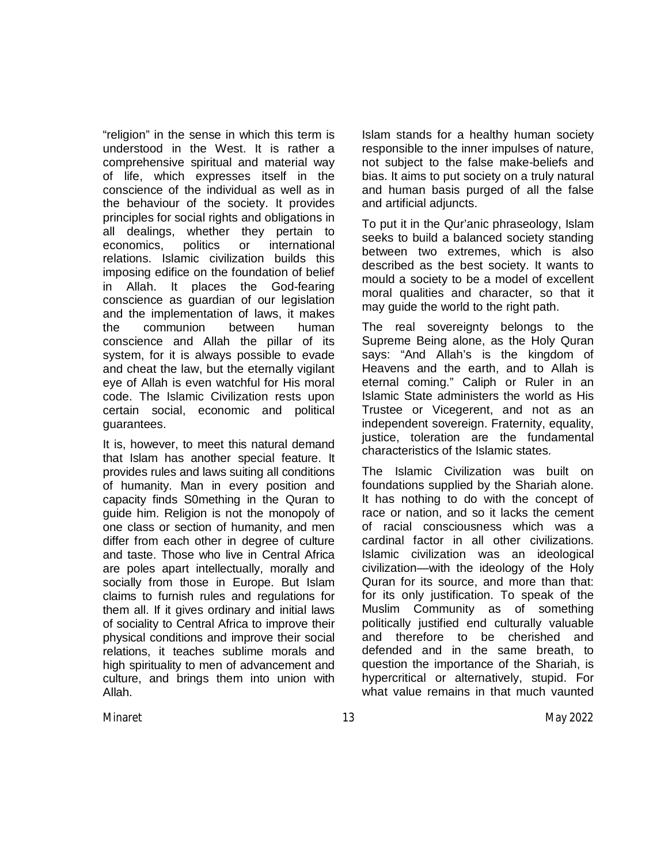"religion" in the sense in which this term is understood in the West. It is rather a comprehensive spiritual and material way of life, which expresses itself in the conscience of the individual as well as in the behaviour of the society. It provides principles for social rights and obligations in all dealings, whether they pertain to economics, politics or international relations. Islamic civilization builds this imposing edifice on the foundation of belief in Allah. It places the God-fearing conscience as guardian of our legislation and the implementation of laws, it makes the communion between human conscience and Allah the pillar of its system, for it is always possible to evade and cheat the law, but the eternally vigilant eye of Allah is even watchful for His moral code. The Islamic Civilization rests upon certain social, economic and political guarantees.

It is, however, to meet this natural demand that Islam has another special feature. It provides rules and laws suiting all conditions of humanity. Man in every position and capacity finds S0mething in the Quran to guide him. Religion is not the monopoly of one class or section of humanity, and men differ from each other in degree of culture and taste. Those who live in Central Africa are poles apart intellectually, morally and socially from those in Europe. But Islam claims to furnish rules and regulations for them all. If it gives ordinary and initial laws of sociality to Central Africa to improve their physical conditions and improve their social relations, it teaches sublime morals and high spirituality to men of advancement and culture, and brings them into union with Allah.

Islam stands for a healthy human society responsible to the inner impulses of nature, not subject to the false make-beliefs and bias. It aims to put society on a truly natural and human basis purged of all the false and artificial adjuncts.

To put it in the Qur'anic phraseology, Islam seeks to build a balanced society standing between two extremes, which is also described as the best society. It wants to mould a society to be a model of excellent moral qualities and character, so that it may guide the world to the right path.

The real sovereignty belongs to the Supreme Being alone, as the Holy Quran says: "And Allah's is the kingdom of Heavens and the earth, and to Allah is eternal coming." Caliph or Ruler in an Islamic State administers the world as His Trustee or Vicegerent, and not as an independent sovereign. Fraternity, equality, justice, toleration are the fundamental characteristics of the Islamic states.

The Islamic Civilization was built on foundations supplied by the Shariah alone. It has nothing to do with the concept of race or nation, and so it lacks the cement of racial consciousness which was a cardinal factor in all other civilizations. Islamic civilization was an ideological civilization—with the ideology of the Holy Quran for its source, and more than that: for its only justification. To speak of the Muslim Community as of something politically justified end culturally valuable and therefore to be cherished and defended and in the same breath, to question the importance of the Shariah, is hypercritical or alternatively, stupid. For what value remains in that much vaunted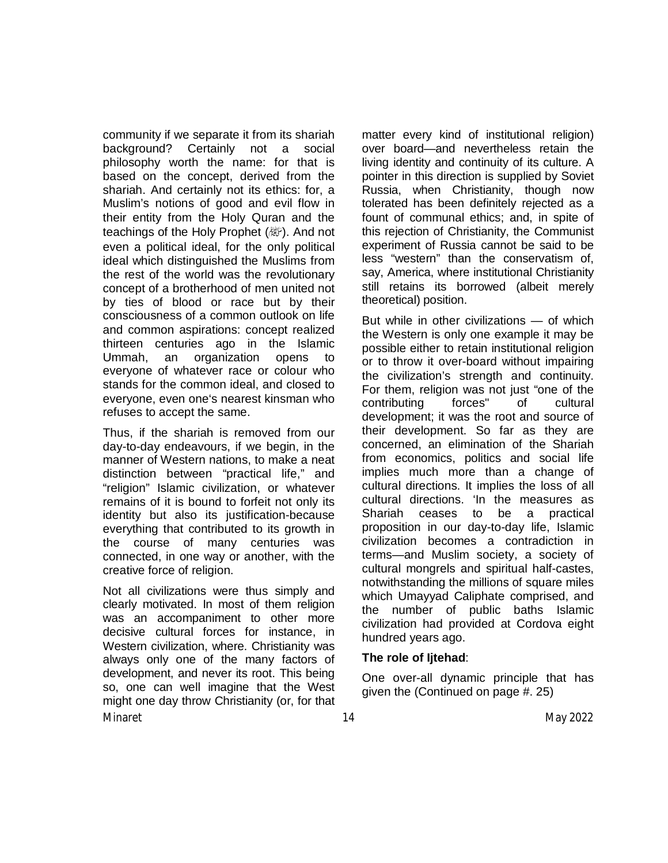community if we separate it from its shariah background? Certainly not a social philosophy worth the name: for that is based on the concept, derived from the shariah. And certainly not its ethics: for, a Muslim's notions of good and evil flow in their entity from the Holy Quran and the teachings of the Holy Prophet (数). And not even a political ideal, for the only political ideal which distinguished the Muslims from the rest of the world was the revolutionary concept of a brotherhood of men united not by ties of blood or race but by their consciousness of a common outlook on life and common aspirations: concept realized thirteen centuries ago in the Islamic Ummah, an organization opens to everyone of whatever race or colour who stands for the common ideal, and closed to everyone, even one's nearest kinsman who refuses to accept the same.

Thus, if the shariah is removed from our day-to-day endeavours, if we begin, in the manner of Western nations, to make a neat distinction between "practical life," and "religion" Islamic civilization, or whatever remains of it is bound to forfeit not only its identity but also its justification-because everything that contributed to its growth in the course of many centuries was connected, in one way or another, with the creative force of religion.

Minaret 14 May 2022 Not all civilizations were thus simply and clearly motivated. In most of them religion was an accompaniment to other more decisive cultural forces for instance, in Western civilization, where. Christianity was always only one of the many factors of development, and never its root. This being so, one can well imagine that the West might one day throw Christianity (or, for that

matter every kind of institutional religion) over board—and nevertheless retain the living identity and continuity of its culture. A pointer in this direction is supplied by Soviet Russia, when Christianity, though now tolerated has been definitely rejected as a fount of communal ethics; and, in spite of this rejection of Christianity, the Communist experiment of Russia cannot be said to be less "western" than the conservatism of, say, America, where institutional Christianity still retains its borrowed (albeit merely theoretical) position.

But while in other civilizations — of which the Western is only one example it may be possible either to retain institutional religion or to throw it over-board without impairing the civilization's strength and continuity. For them, religion was not just "one of the contributing forces" of cultural development; it was the root and source of their development. So far as they are concerned, an elimination of the Shariah from economics, politics and social life implies much more than a change of cultural directions. It implies the loss of all cultural directions. 'In the measures as Shariah ceases to be a practical proposition in our day-to-day life, Islamic civilization becomes a contradiction in terms—and Muslim society, a society of cultural mongrels and spiritual half-castes, notwithstanding the millions of square miles which Umayyad Caliphate comprised, and the number of public baths Islamic civilization had provided at Cordova eight hundred years ago.

### **The role of Ijtehad**:

One over-all dynamic principle that has given the (Continued on page #. 25)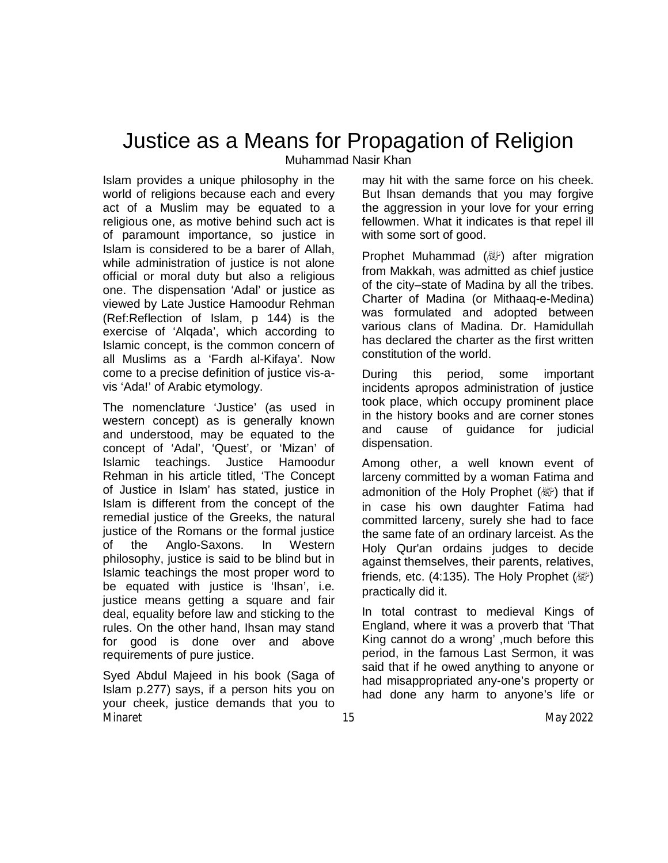## Justice as a Means for Propagation of Religion

Muhammad Nasir Khan

Islam provides a unique philosophy in the world of religions because each and every act of a Muslim may be equated to a religious one, as motive behind such act is of paramount importance, so justice in Islam is considered to be a barer of Allah, while administration of justice is not alone official or moral duty but also a religious one. The dispensation 'Adal' or justice as viewed by Late Justice Hamoodur Rehman (Ref:Reflection of Islam, p 144) is the exercise of 'Alqada', which according to Islamic concept, is the common concern of all Muslims as a 'Fardh al-Kifaya'. Now come to a precise definition of justice vis-avis 'Ada!' of Arabic etymology.

The nomenclature 'Justice' (as used in western concept) as is generally known and understood, may be equated to the concept of 'Adal', 'Quest', or 'Mizan' of Islamic teachings. Justice Hamoodur Rehman in his article titled, 'The Concept of Justice in Islam' has stated, justice in Islam is different from the concept of the remedial justice of the Greeks, the natural justice of the Romans or the formal justice of the Anglo-Saxons. In Western philosophy, justice is said to be blind but in Islamic teachings the most proper word to be equated with justice is 'Ihsan', i.e. justice means getting a square and fair deal, equality before law and sticking to the rules. On the other hand, Ihsan may stand for good is done over and above requirements of pure justice.

Minaret 15 May 2022 Syed Abdul Majeed in his book (Saga of Islam p.277) says, if a person hits you on your cheek, justice demands that you to

may hit with the same force on his cheek. But Ihsan demands that you may forgive the aggression in your love for your erring fellowmen. What it indicates is that repel ill with some sort of good.

Prophet Muhammad (變) after migration from Makkah, was admitted as chief justice of the city–state of Madina by all the tribes. Charter of Madina (or Mithaaq-e-Medina) was formulated and adopted between various clans of Madina. Dr. Hamidullah has declared the charter as the first written constitution of the world.

During this period, some important incidents apropos administration of justice took place, which occupy prominent place in the history books and are corner stones and cause of guidance for judicial dispensation.

Among other, a well known event of larceny committed by a woman Fatima and admonition of the Holy Prophet (纖) that if in case his own daughter Fatima had committed larceny, surely she had to face the same fate of an ordinary larceist. As the Holy Qur'an ordains judges to decide against themselves, their parents, relatives, friends, etc. (4:135). The Holy Prophet  $(\mathbb{Z})$ practically did it.

In total contrast to medieval Kings of England, where it was a proverb that 'That King cannot do a wrong' ,much before this period, in the famous Last Sermon, it was said that if he owed anything to anyone or had misappropriated any-one's property or had done any harm to anyone's life or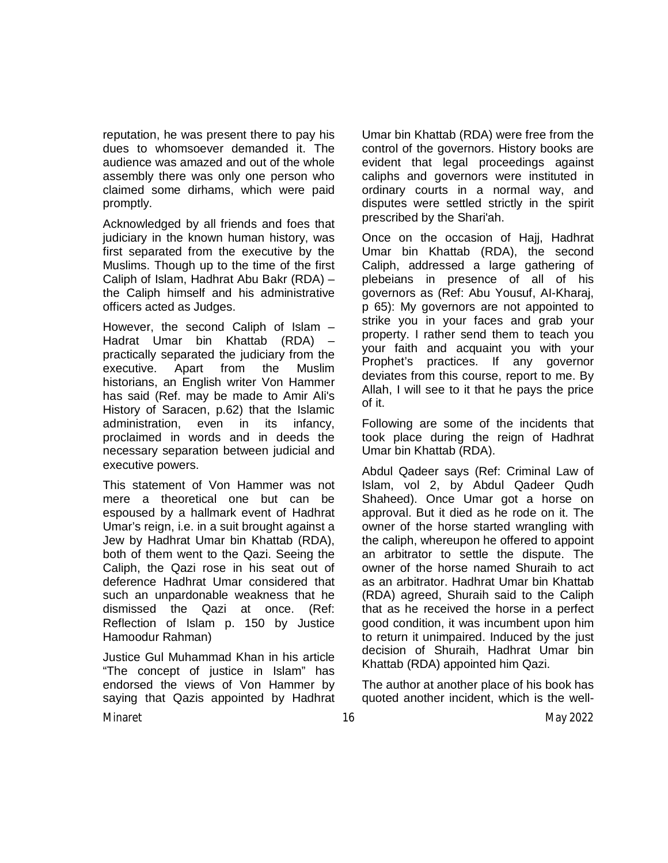reputation, he was present there to pay his dues to whomsoever demanded it. The audience was amazed and out of the whole assembly there was only one person who claimed some dirhams, which were paid promptly.

Acknowledged by all friends and foes that judiciary in the known human history, was first separated from the executive by the Muslims. Though up to the time of the first Caliph of Islam, Hadhrat Abu Bakr (RDA) – the Caliph himself and his administrative officers acted as Judges.

However, the second Caliph of Islam – Hadrat Umar bin Khattab (RDA) – practically separated the judiciary from the executive. Apart from the Muslim historians, an English writer Von Hammer has said (Ref. may be made to Amir Ali's History of Saracen, p.62) that the Islamic administration, even in its infancy, proclaimed in words and in deeds the necessary separation between judicial and executive powers.

This statement of Von Hammer was not mere a theoretical one but can be espoused by a hallmark event of Hadhrat Umar's reign, i.e. in a suit brought against a Jew by Hadhrat Umar bin Khattab (RDA), both of them went to the Qazi. Seeing the Caliph, the Qazi rose in his seat out of deference Hadhrat Umar considered that such an unpardonable weakness that he dismissed the Qazi at once. (Ref: Reflection of Islam p. 150 by Justice Hamoodur Rahman)

Minaret 16 May 2022 Justice Gul Muhammad Khan in his article "The concept of justice in Islam" has endorsed the views of Von Hammer by saying that Qazis appointed by Hadhrat

Umar bin Khattab (RDA) were free from the control of the governors. History books are evident that legal proceedings against caliphs and governors were instituted in ordinary courts in a normal way, and disputes were settled strictly in the spirit prescribed by the Shari'ah.

Once on the occasion of Hajj, Hadhrat Umar bin Khattab (RDA), the second Caliph, addressed a large gathering of plebeians in presence of all of his governors as (Ref: Abu Yousuf, AI-Kharaj, p 65): My governors are not appointed to strike you in your faces and grab your property. I rather send them to teach you your faith and acquaint you with your Prophet's practices. If any governor deviates from this course, report to me. By Allah, I will see to it that he pays the price of it.

Following are some of the incidents that took place during the reign of Hadhrat Umar bin Khattab (RDA).

Abdul Qadeer says (Ref: Criminal Law of Islam, vol 2, by Abdul Qadeer Qudh Shaheed). Once Umar got a horse on approval. But it died as he rode on it. The owner of the horse started wrangling with the caliph, whereupon he offered to appoint an arbitrator to settle the dispute. The owner of the horse named Shuraih to act as an arbitrator. Hadhrat Umar bin Khattab (RDA) agreed, Shuraih said to the Caliph that as he received the horse in a perfect good condition, it was incumbent upon him to return it unimpaired. Induced by the just decision of Shuraih, Hadhrat Umar bin Khattab (RDA) appointed him Qazi.

The author at another place of his book has quoted another incident, which is the well-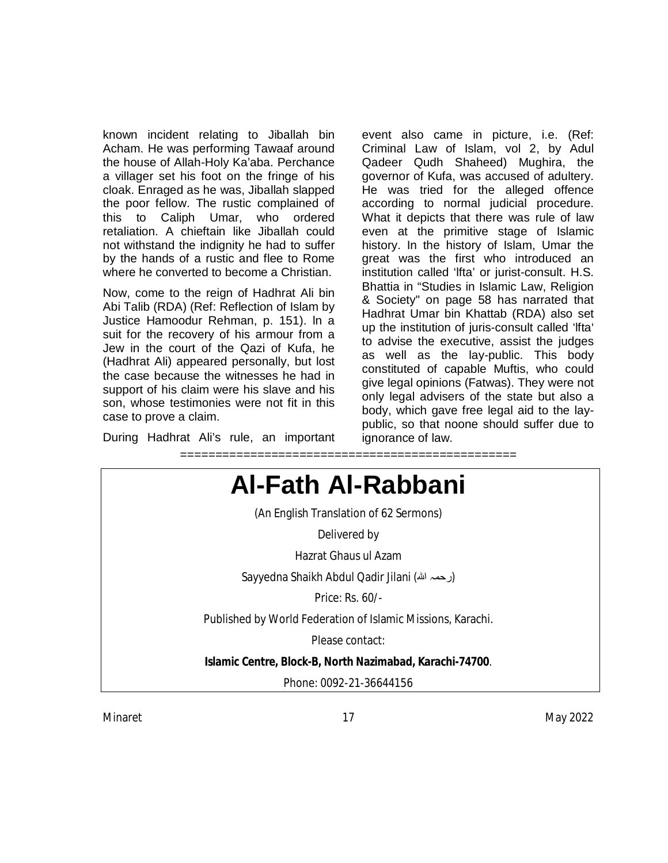known incident relating to Jiballah bin Acham. He was performing Tawaaf around the house of Allah-Holy Ka'aba. Perchance a villager set his foot on the fringe of his cloak. Enraged as he was, Jiballah slapped the poor fellow. The rustic complained of this to Caliph Umar, who ordered retaliation. A chieftain like Jiballah could not withstand the indignity he had to suffer by the hands of a rustic and flee to Rome where he converted to become a Christian.

Now, come to the reign of Hadhrat Ali bin Abi Talib (RDA) (Ref: Reflection of Islam by Justice Hamoodur Rehman, p. 151). ln a suit for the recovery of his armour from a Jew in the court of the Qazi of Kufa, he (Hadhrat Ali) appeared personally, but lost the case because the witnesses he had in support of his claim were his slave and his son, whose testimonies were not fit in this case to prove a claim.

During Hadhrat Ali's rule, an important

event also came in picture, i.e. (Ref: Criminal Law of Islam, vol 2, by Adul Qadeer Qudh Shaheed) Mughira, the governor of Kufa, was accused of adultery. He was tried for the alleged offence according to normal judicial procedure. What it depicts that there was rule of law even at the primitive stage of Islamic history. In the history of Islam, Umar the great was the first who introduced an institution called 'lfta' or jurist-consult. H.S. Bhattia in "Studies in Islamic Law, Religion & Society" on page 58 has narrated that Hadhrat Umar bin Khattab (RDA) also set up the institution of juris-consult called 'lfta' to advise the executive, assist the judges as well as the lay-public. This body constituted of capable Muftis, who could give legal opinions (Fatwas). They were not only legal advisers of the state but also a body, which gave free legal aid to the laypublic, so that noone should suffer due to ignorance of law.





Minaret 17 May 2022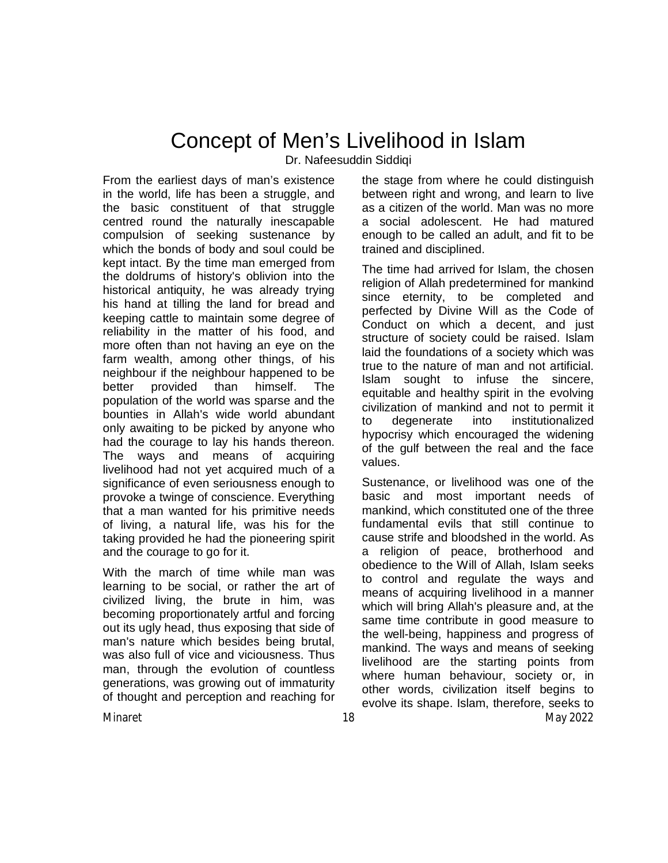# Concept of Men's Livelihood in Islam

Dr. Nafeesuddin Siddiqi

From the earliest days of man's existence in the world, life has been a struggle, and the basic constituent of that struggle centred round the naturally inescapable compulsion of seeking sustenance by which the bonds of body and soul could be kept intact. By the time man emerged from the doldrums of history's oblivion into the historical antiquity, he was already trying his hand at tilling the land for bread and keeping cattle to maintain some degree of reliability in the matter of his food, and more often than not having an eye on the farm wealth, among other things, of his neighbour if the neighbour happened to be better provided than himself. The population of the world was sparse and the bounties in Allah's wide world abundant only awaiting to be picked by anyone who had the courage to lay his hands thereon. The ways and means of acquiring livelihood had not yet acquired much of a significance of even seriousness enough to provoke a twinge of conscience. Everything that a man wanted for his primitive needs of living, a natural life, was his for the taking provided he had the pioneering spirit and the courage to go for it.

With the march of time while man was learning to be social, or rather the art of civilized living, the brute in him, was becoming proportionately artful and forcing out its ugly head, thus exposing that side of man's nature which besides being brutal, was also full of vice and viciousness. Thus man, through the evolution of countless generations, was growing out of immaturity of thought and perception and reaching for the stage from where he could distinguish between right and wrong, and learn to live as a citizen of the world. Man was no more a social adolescent. He had matured enough to be called an adult, and fit to be trained and disciplined.

The time had arrived for Islam, the chosen religion of Allah predetermined for mankind since eternity, to be completed and perfected by Divine Will as the Code of Conduct on which a decent, and just structure of society could be raised. Islam laid the foundations of a society which was true to the nature of man and not artificial. Islam sought to infuse the sincere, equitable and healthy spirit in the evolving civilization of mankind and not to permit it to degenerate into institutionalized hypocrisy which encouraged the widening of the gulf between the real and the face values.

Minaret 18 May 2022 Sustenance, or livelihood was one of the basic and most important needs of mankind, which constituted one of the three fundamental evils that still continue to cause strife and bloodshed in the world. As a religion of peace, brotherhood and obedience to the Will of Allah, Islam seeks to control and regulate the ways and means of acquiring livelihood in a manner which will bring Allah's pleasure and, at the same time contribute in good measure to the well-being, happiness and progress of mankind. The ways and means of seeking livelihood are the starting points from where human behaviour, society or, in other words, civilization itself begins to evolve its shape. Islam, therefore, seeks to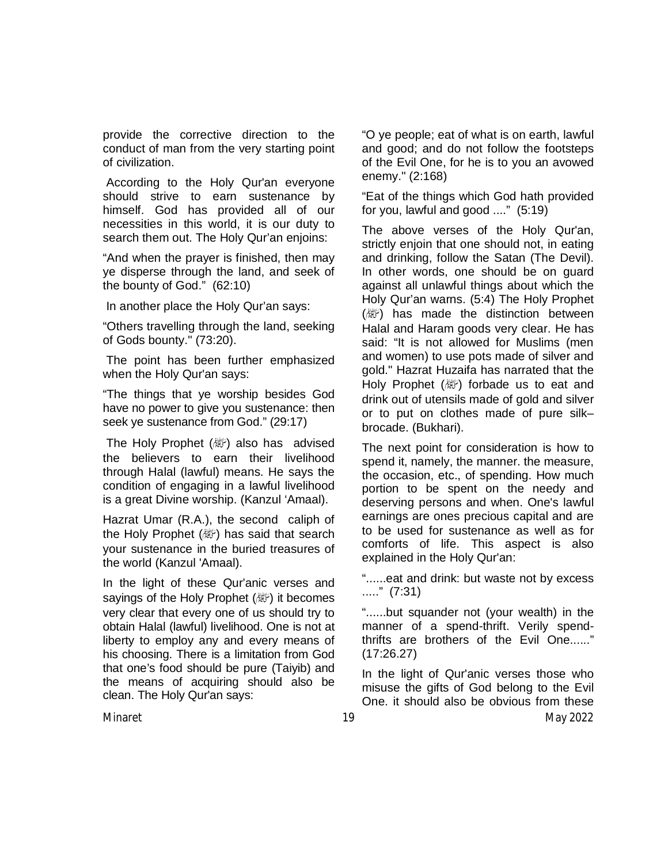provide the corrective direction to the conduct of man from the very starting point of civilization.

According to the Holy Qur'an everyone should strive to earn sustenance by himself. God has provided all of our necessities in this world, it is our duty to search them out. The Holy Qur'an enjoins:

"And when the prayer is finished, then may ye disperse through the land, and seek of the bounty of God." (62:10)

In another place the Holy Qur'an says:

"Others travelling through the land, seeking of Gods bounty." (73:20).

The point has been further emphasized when the Holy Qur'an says:

"The things that ye worship besides God have no power to give you sustenance: then seek ye sustenance from God." (29:17)

The Holy Prophet  $(\&$ ) also has advised the believers to earn their livelihood through Halal (lawful) means. He says the condition of engaging in a lawful livelihood is a great Divine worship. (Kanzul 'Amaal).

Hazrat Umar (R.A.), the second caliph of the Holy Prophet ( ) has said that search your sustenance in the buried treasures of the world (Kanzul 'Amaal).

In the light of these Qur'anic verses and sayings of the Holy Prophet (ﷺ) it becomes very clear that every one of us should try to obtain Halal (lawful) livelihood. One is not at liberty to employ any and every means of his choosing. There is a limitation from God that one's food should be pure (Taiyib) and the means of acquiring should also be clean. The Holy Qur'an says:

"O ye people; eat of what is on earth, lawful and good; and do not follow the footsteps of the Evil One, for he is to you an avowed enemy." (2:168)

"Eat of the things which God hath provided for you, lawful and good ...." (5:19)

The above verses of the Holy Qur'an, strictly enjoin that one should not, in eating and drinking, follow the Satan (The Devil). In other words, one should be on guard against all unlawful things about which the Holy Qur'an warns. (5:4) The Holy Prophet ( ) has made the distinction between Halal and Haram goods very clear. He has said: "It is not allowed for Muslims (men and women) to use pots made of silver and gold." Hazrat Huzaifa has narrated that the Holy Prophet (  $\mathbb{R}^n$ ) forbade us to eat and drink out of utensils made of gold and silver or to put on clothes made of pure silk– brocade. (Bukhari).

The next point for consideration is how to spend it, namely, the manner. the measure, the occasion, etc., of spending. How much portion to be spent on the needy and deserving persons and when. One's lawful earnings are ones precious capital and are to be used for sustenance as well as for comforts of life. This aspect is also explained in the Holy Qur'an:

"......eat and drink: but waste not by excess ....." (7:31)

"......but squander not (your wealth) in the manner of a spend-thrift. Verily spendthrifts are brothers of the Evil One......" (17:26.27)

Minaret 19 May 2022 In the light of Qur'anic verses those who misuse the gifts of God belong to the Evil One. it should also be obvious from these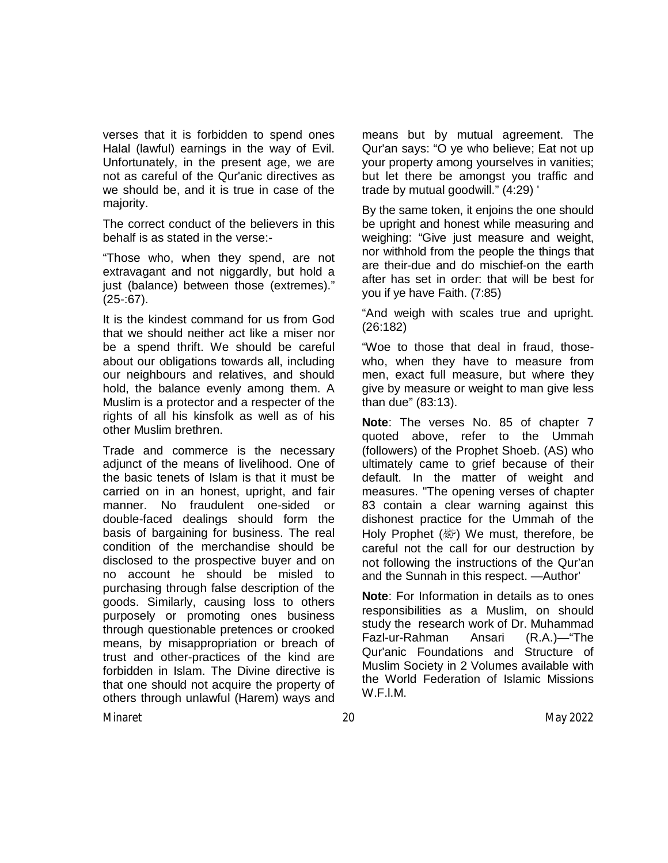verses that it is forbidden to spend ones Halal (lawful) earnings in the way of Evil. Unfortunately, in the present age, we are not as careful of the Qur'anic directives as we should be, and it is true in case of the majority.

The correct conduct of the believers in this behalf is as stated in the verse:-

"Those who, when they spend, are not extravagant and not niggardly, but hold a just (balance) between those (extremes)."  $(25-67)$ .

It is the kindest command for us from God that we should neither act like a miser nor be a spend thrift. We should be careful about our obligations towards all, including our neighbours and relatives, and should hold, the balance evenly among them. A Muslim is a protector and a respecter of the rights of all his kinsfolk as well as of his other Muslim brethren.

Trade and commerce is the necessary adjunct of the means of livelihood. One of the basic tenets of Islam is that it must be carried on in an honest, upright, and fair manner. No fraudulent one-sided or double-faced dealings should form the basis of bargaining for business. The real condition of the merchandise should be disclosed to the prospective buyer and on no account he should be misled to purchasing through false description of the goods. Similarly, causing loss to others purposely or promoting ones business through questionable pretences or crooked means, by misappropriation or breach of trust and other-practices of the kind are forbidden in Islam. The Divine directive is that one should not acquire the property of others through unlawful (Harem) ways and

means but by mutual agreement. The Qur'an says: "O ye who believe; Eat not up your property among yourselves in vanities; but let there be amongst you traffic and trade by mutual goodwill." (4:29) '

By the same token, it enjoins the one should be upright and honest while measuring and weighing: "Give just measure and weight, nor withhold from the people the things that are their-due and do mischief-on the earth after has set in order: that will be best for you if ye have Faith. (7:85)

"And weigh with scales true and upright. (26:182)

"Woe to those that deal in fraud, thosewho, when they have to measure from men, exact full measure, but where they give by measure or weight to man give less than due" (83:13).

**Note**: The verses No. 85 of chapter 7 quoted above, refer to the Ummah (followers) of the Prophet Shoeb. (AS) who ultimately came to grief because of their default. In the matter of weight and measures. "The opening verses of chapter 83 contain a clear warning against this dishonest practice for the Ummah of the Holy Prophet (@) We must, therefore, be careful not the call for our destruction by not following the instructions of the Qur'an and the Sunnah in this respect. —Author'

**Note**: For Information in details as to ones responsibilities as a Muslim, on should study the research work of Dr. Muhammad Fazl-ur-Rahman Ansari (R.A.)—"The Qur'anic Foundations and Structure of Muslim Society in 2 Volumes available with the World Federation of Islamic Missions W.F.l.M.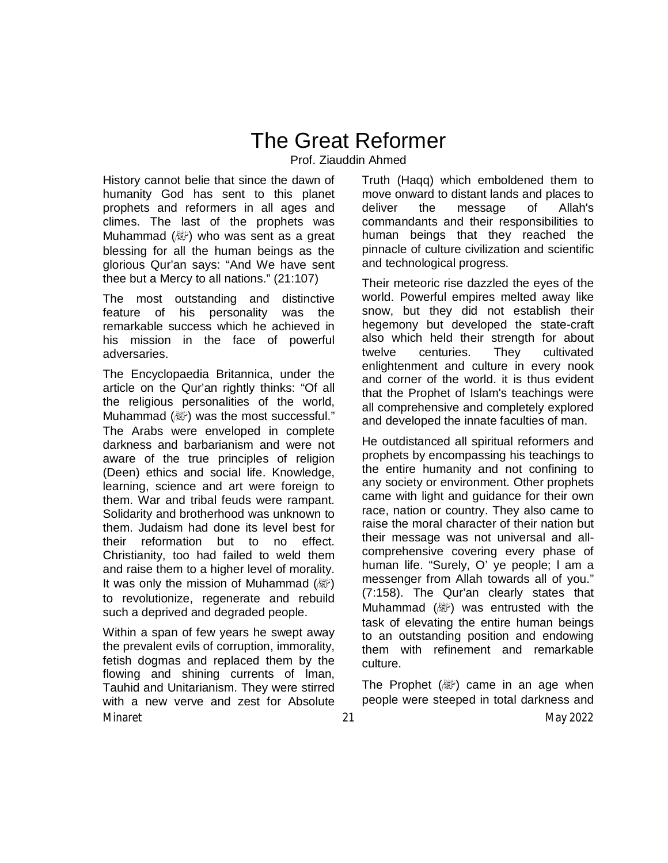# The Great Reformer

Prof. Ziauddin Ahmed

History cannot belie that since the dawn of humanity God has sent to this planet prophets and reformers in all ages and climes. The last of the prophets was Muhammad  $(\&$  who was sent as a great blessing for all the human beings as the glorious Qur'an says: "And We have sent thee but a Mercy to all nations." (21:107)

The most outstanding and distinctive feature of his personality was the remarkable success which he achieved in his mission in the face of powerful adversaries.

The Encyclopaedia Britannica, under the article on the Qur'an rightly thinks: "Of all the religious personalities of the world, Muhammad (ave) was the most successful." The Arabs were enveloped in complete darkness and barbarianism and were not aware of the true principles of religion (Deen) ethics and social life. Knowledge, learning, science and art were foreign to them. War and tribal feuds were rampant. Solidarity and brotherhood was unknown to them. Judaism had done its level best for their reformation but to no effect. Christianity, too had failed to weld them and raise them to a higher level of morality. It was only the mission of Muhammad  $(\mathbb{Z})$ to revolutionize, regenerate and rebuild such a deprived and degraded people.

Minaret 21 May 2022 Within a span of few years he swept away the prevalent evils of corruption, immorality, fetish dogmas and replaced them by the flowing and shining currents of lman, Tauhid and Unitarianism. They were stirred with a new verve and zest for Absolute

Truth (Haqq) which emboldened them to move onward to distant lands and places to deliver the message of Allah's commandants and their responsibilities to human beings that they reached the pinnacle of culture civilization and scientific and technological progress.

Their meteoric rise dazzled the eyes of the world. Powerful empires melted away like snow, but they did not establish their hegemony but developed the state-craft also which held their strength for about twelve centuries. They cultivated enlightenment and culture in every nook and corner of the world. it is thus evident that the Prophet of Islam's teachings were all comprehensive and completely explored and developed the innate faculties of man.

He outdistanced all spiritual reformers and prophets by encompassing his teachings to the entire humanity and not confining to any society or environment. Other prophets came with light and guidance for their own race, nation or country. They also came to raise the moral character of their nation but their message was not universal and allcomprehensive covering every phase of human life. "Surely, O' ye people; l am a messenger from Allah towards all of you." (7:158). The Qur'an clearly states that Muhammad (變) was entrusted with the task of elevating the entire human beings to an outstanding position and endowing them with refinement and remarkable culture.

The Prophet  $(\&$  ame in an age when people were steeped in total darkness and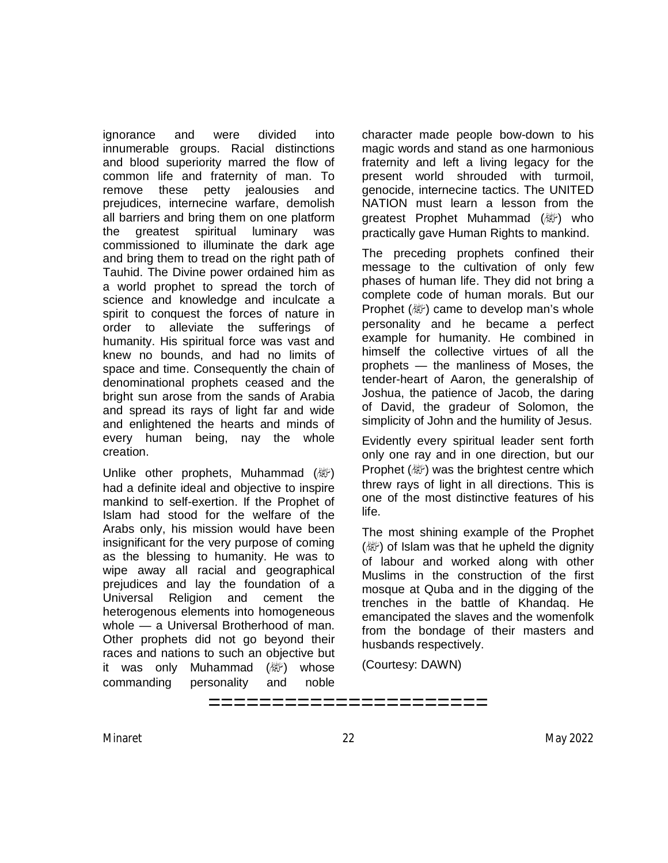ignorance and were divided into innumerable groups. Racial distinctions and blood superiority marred the flow of common life and fraternity of man. To remove these petty jealousies and prejudices, internecine warfare, demolish all barriers and bring them on one platform the greatest spiritual luminary was commissioned to illuminate the dark age and bring them to tread on the right path of Tauhid. The Divine power ordained him as a world prophet to spread the torch of science and knowledge and inculcate a spirit to conquest the forces of nature in order to alleviate the sufferings of humanity. His spiritual force was vast and knew no bounds, and had no limits of space and time. Consequently the chain of denominational prophets ceased and the bright sun arose from the sands of Arabia and spread its rays of light far and wide and enlightened the hearts and minds of every human being, nay the whole creation.

Unlike other prophets, Muhammad  $(\mathbb{W})$ had a definite ideal and objective to inspire mankind to self-exertion. If the Prophet of Islam had stood for the welfare of the Arabs only, his mission would have been insignificant for the very purpose of coming as the blessing to humanity. He was to wipe away all racial and geographical prejudices and lay the foundation of a Universal Religion and cement the heterogenous elements into homogeneous whole — a Universal Brotherhood of man. Other prophets did not go beyond their races and nations to such an objective but it was only Muhammad (纖) whose commanding personality and noble

character made people bow-down to his magic words and stand as one harmonious fraternity and left a living legacy for the present world shrouded with turmoil, genocide, internecine tactics. The UNITED NATION must learn a lesson from the greatest Prophet Muhammad (*剛*) who practically gave Human Rights to mankind.

The preceding prophets confined their message to the cultivation of only few phases of human life. They did not bring a complete code of human morals. But our Prophet (صلى الله عليه وسلم (came to develop man's whole personality and he became a perfect example for humanity. He combined in himself the collective virtues of all the prophets — the manliness of Moses, the tender-heart of Aaron, the generalship of Joshua, the patience of Jacob, the daring of David, the gradeur of Solomon, the simplicity of John and the humility of Jesus.

Evidently every spiritual leader sent forth only one ray and in one direction, but our Prophet (ﷺ) was the brightest centre which threw rays of light in all directions. This is one of the most distinctive features of his life.

The most shining example of the Prophet (数) of Islam was that he upheld the dignity of labour and worked along with other Muslims in the construction of the first mosque at Quba and in the digging of the trenches in the battle of Khandaq. He emancipated the slaves and the womenfolk from the bondage of their masters and husbands respectively.

(Courtesy: DAWN)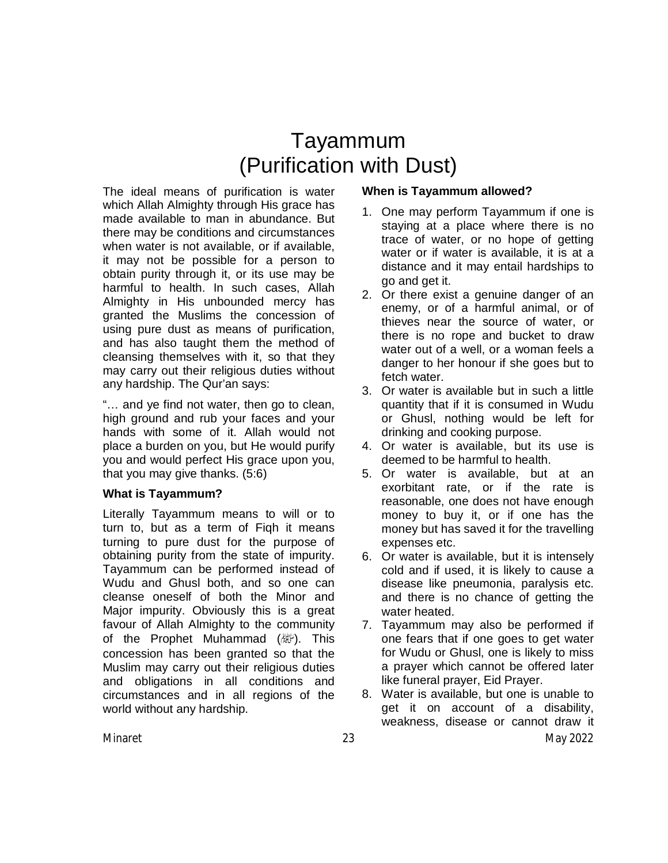# Tayammum (Purification with Dust)

The ideal means of purification is water which Allah Almighty through His grace has made available to man in abundance. But there may be conditions and circumstances when water is not available, or if available, it may not be possible for a person to obtain purity through it, or its use may be harmful to health. In such cases, Allah Almighty in His unbounded mercy has granted the Muslims the concession of using pure dust as means of purification, and has also taught them the method of cleansing themselves with it, so that they may carry out their religious duties without any hardship. The Qur'an says:

"… and ye find not water, then go to clean, high ground and rub your faces and your hands with some of it. Allah would not place a burden on you, but He would purify you and would perfect His grace upon you, that you may give thanks. (5:6)

### **What is Tayammum?**

Literally Tayammum means to will or to turn to, but as a term of Fiqh it means turning to pure dust for the purpose of obtaining purity from the state of impurity. Tayammum can be performed instead of Wudu and Ghusl both, and so one can cleanse oneself of both the Minor and Major impurity. Obviously this is a great favour of Allah Almighty to the community of the Prophet Muhammad  $(\&$ ). This concession has been granted so that the Muslim may carry out their religious duties and obligations in all conditions and circumstances and in all regions of the world without any hardship.

### **When is Tayammum allowed?**

- 1. One may perform Tayammum if one is staying at a place where there is no trace of water, or no hope of getting water or if water is available, it is at a distance and it may entail hardships to go and get it.
- 2. Or there exist a genuine danger of an enemy, or of a harmful animal, or of thieves near the source of water, or there is no rope and bucket to draw water out of a well, or a woman feels a danger to her honour if she goes but to fetch water.
- 3. Or water is available but in such a little quantity that if it is consumed in Wudu or Ghusl, nothing would be left for drinking and cooking purpose.
- 4. Or water is available, but its use is deemed to be harmful to health.
- 5. Or water is available, but at an exorbitant rate, or if the rate is reasonable, one does not have enough money to buy it, or if one has the money but has saved it for the travelling expenses etc.
- 6. Or water is available, but it is intensely cold and if used, it is likely to cause a disease like pneumonia, paralysis etc. and there is no chance of getting the water heated.
- 7. Tayammum may also be performed if one fears that if one goes to get water for Wudu or Ghusl, one is likely to miss a prayer which cannot be offered later like funeral prayer, Eid Prayer.
- Minaret 23 May 2022 8. Water is available, but one is unable to get it on account of a disability, weakness, disease or cannot draw it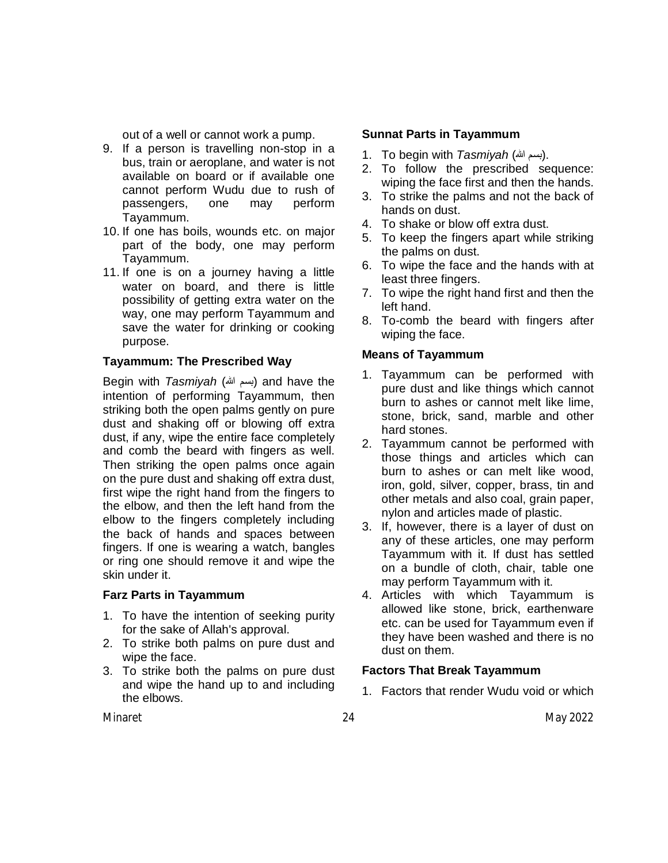out of a well or cannot work a pump.

- 9. If a person is travelling non-stop in a bus, train or aeroplane, and water is not available on board or if available one cannot perform Wudu due to rush of passengers, one may perform Tayammum.
- 10. If one has boils, wounds etc. on major part of the body, one may perform Tayammum.
- 11. If one is on a journey having a little water on board, and there is little possibility of getting extra water on the way, one may perform Tayammum and save the water for drinking or cooking purpose.

### **Tayammum: The Prescribed Way**

Begin with *Tasmiyah* (الله بسم (and have the intention of performing Tayammum, then striking both the open palms gently on pure dust and shaking off or blowing off extra dust, if any, wipe the entire face completely and comb the beard with fingers as well. Then striking the open palms once again on the pure dust and shaking off extra dust, first wipe the right hand from the fingers to the elbow, and then the left hand from the elbow to the fingers completely including the back of hands and spaces between fingers. If one is wearing a watch, bangles or ring one should remove it and wipe the skin under it.

#### **Farz Parts in Tayammum**

- 1. To have the intention of seeking purity for the sake of Allah's approval.
- 2. To strike both palms on pure dust and wipe the face.
- 3. To strike both the palms on pure dust and wipe the hand up to and including the elbows.

#### **Sunnat Parts in Tayammum**

- 1. To begin with *Tasmiyah (*ابسم الله).
- 2. To follow the prescribed sequence: wiping the face first and then the hands.
- 3. To strike the palms and not the back of hands on dust.
- 4. To shake or blow off extra dust.
- 5. To keep the fingers apart while striking the palms on dust.
- 6. To wipe the face and the hands with at least three fingers.
- 7. To wipe the right hand first and then the left hand.
- 8. To-comb the beard with fingers after wiping the face.

#### **Means of Tayammum**

- 1. Tayammum can be performed with pure dust and like things which cannot burn to ashes or cannot melt like lime, stone, brick, sand, marble and other hard stones.
- 2. Tayammum cannot be performed with those things and articles which can burn to ashes or can melt like wood, iron, gold, silver, copper, brass, tin and other metals and also coal, grain paper, nylon and articles made of plastic.
- 3. If, however, there is a layer of dust on any of these articles, one may perform Tayammum with it. If dust has settled on a bundle of cloth, chair, table one may perform Tayammum with it.
- 4. Articles with which Tayammum is allowed like stone, brick, earthenware etc. can be used for Tayammum even if they have been washed and there is no dust on them.

### **Factors That Break Tayammum**

1. Factors that render Wudu void or which

Minaret 24 May 2022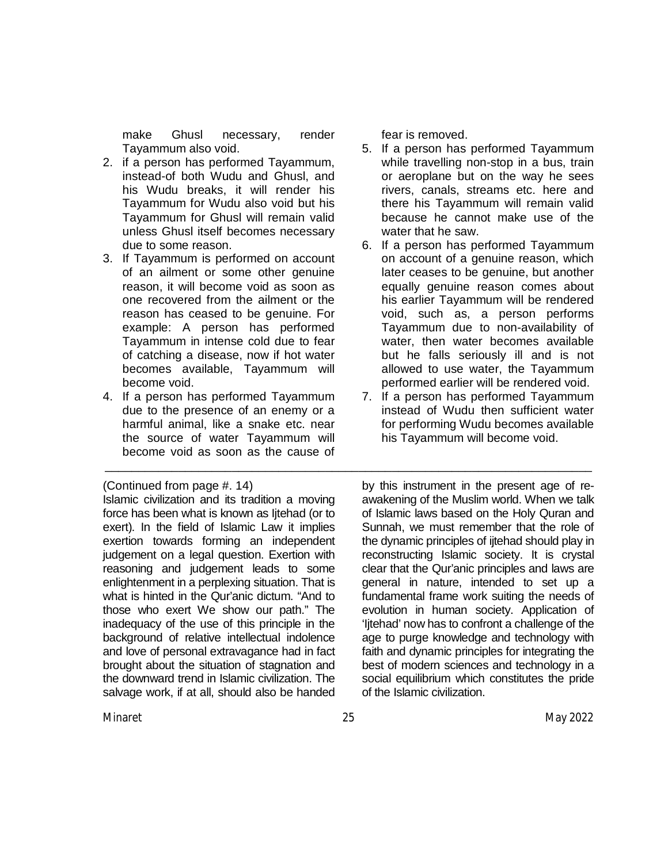make Ghusl necessary, render Tayammum also void.

- 2. if a person has performed Tayammum, instead-of both Wudu and Ghusl, and his Wudu breaks, it will render his Tayammum for Wudu also void but his Tayammum for Ghusl will remain valid unless Ghusl itself becomes necessary due to some reason.
- 3. If Tayammum is performed on account of an ailment or some other genuine reason, it will become void as soon as one recovered from the ailment or the reason has ceased to be genuine. For example: A person has performed Tayammum in intense cold due to fear of catching a disease, now if hot water becomes available, Tayammum will become void.
- 4. If a person has performed Tayammum due to the presence of an enemy or a harmful animal, like a snake etc. near the source of water Tayammum will become void as soon as the cause of

#### (Continued from page #. 14)

Islamic civilization and its tradition a moving force has been what is known as Ijtehad (or to exert). In the field of Islamic Law it implies exertion towards forming an independent judgement on a legal question. Exertion with reasoning and judgement leads to some enlightenment in a perplexing situation. That is what is hinted in the Qur'anic dictum. "And to those who exert We show our path." The inadequacy of the use of this principle in the background of relative intellectual indolence and love of personal extravagance had in fact brought about the situation of stagnation and the downward trend in Islamic civilization. The salvage work, if at all, should also be handed fear is removed.

- 5. If a person has performed Tayammum while travelling non-stop in a bus, train or aeroplane but on the way he sees rivers, canals, streams etc. here and there his Tayammum will remain valid because he cannot make use of the water that he saw.
- 6. If a person has performed Tayammum on account of a genuine reason, which later ceases to be genuine, but another equally genuine reason comes about his earlier Tayammum will be rendered void, such as, a person performs Tayammum due to non-availability of water, then water becomes available but he falls seriously ill and is not allowed to use water, the Tayammum performed earlier will be rendered void.
- 7. If a person has performed Tayammum instead of Wudu then sufficient water for performing Wudu becomes available his Tayammum will become void.

by this instrument in the present age of reawakening of the Muslim world. When we talk of Islamic laws based on the Holy Quran and Sunnah, we must remember that the role of the dynamic principles of ijtehad should play in reconstructing Islamic society. It is crystal clear that the Qur'anic principles and laws are general in nature, intended to set up a fundamental frame work suiting the needs of evolution in human society. Application of 'Ijtehad' now has to confront a challenge of the age to purge knowledge and technology with faith and dynamic principles for integrating the best of modern sciences and technology in a social equilibrium which constitutes the pride of the Islamic civilization.

\_\_\_\_\_\_\_\_\_\_\_\_\_\_\_\_\_\_\_\_\_\_\_\_\_\_\_\_\_\_\_\_\_\_\_\_\_\_\_\_\_\_\_\_\_\_\_\_\_\_\_\_\_\_\_\_\_\_\_\_\_\_\_\_\_\_\_\_\_\_\_\_\_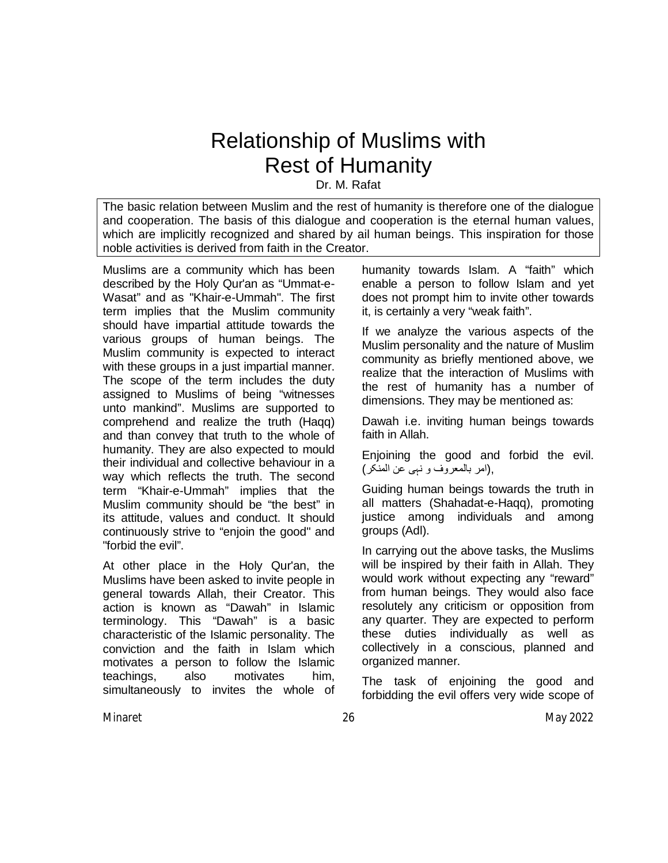# Relationship of Muslims with Rest of Humanity

Dr. M. Rafat

The basic relation between Muslim and the rest of humanity is therefore one of the dialogue and cooperation. The basis of this dialogue and cooperation is the eternal human values, which are implicitly recognized and shared by ail human beings. This inspiration for those noble activities is derived from faith in the Creator.

Muslims are a community which has been described by the Holy Qur'an as "Ummat-e-Wasat" and as "Khair-e-Ummah". The first term implies that the Muslim community should have impartial attitude towards the various groups of human beings. The Muslim community is expected to interact with these groups in a just impartial manner. The scope of the term includes the duty assigned to Muslims of being "witnesses unto mankind". Muslims are supported to comprehend and realize the truth (Haqq) and than convey that truth to the whole of humanity. They are also expected to mould their individual and collective behaviour in a way which reflects the truth. The second term "Khair-e-Ummah" implies that the Muslim community should be "the best" in its attitude, values and conduct. It should continuously strive to "enjoin the good" and "forbid the evil".

At other place in the Holy Qur'an, the Muslims have been asked to invite people in general towards Allah, their Creator. This action is known as "Dawah" in Islamic terminology. This "Dawah" is a basic characteristic of the Islamic personality. The conviction and the faith in Islam which motivates a person to follow the Islamic teachings, also motivates him, simultaneously to invites the whole of

humanity towards Islam. A "faith" which enable a person to follow Islam and yet does not prompt him to invite other towards it, is certainly a very "weak faith".

If we analyze the various aspects of the Muslim personality and the nature of Muslim community as briefly mentioned above, we realize that the interaction of Muslims with the rest of humanity has a number of dimensions. They may be mentioned as:

Dawah i.e. inviting human beings towards faith in Allah.

Enjoining the good and forbid the evil. ,(امر بالمعروف و نہی عن المنکر)

Guiding human beings towards the truth in all matters (Shahadat-e-Haqq), promoting justice among individuals and among groups (Adl).

In carrying out the above tasks, the Muslims will be inspired by their faith in Allah. They would work without expecting any "reward" from human beings. They would also face resolutely any criticism or opposition from any quarter. They are expected to perform these duties individually as well as collectively in a conscious, planned and organized manner.

The task of enjoining the good and forbidding the evil offers very wide scope of

Minaret 26 May 2022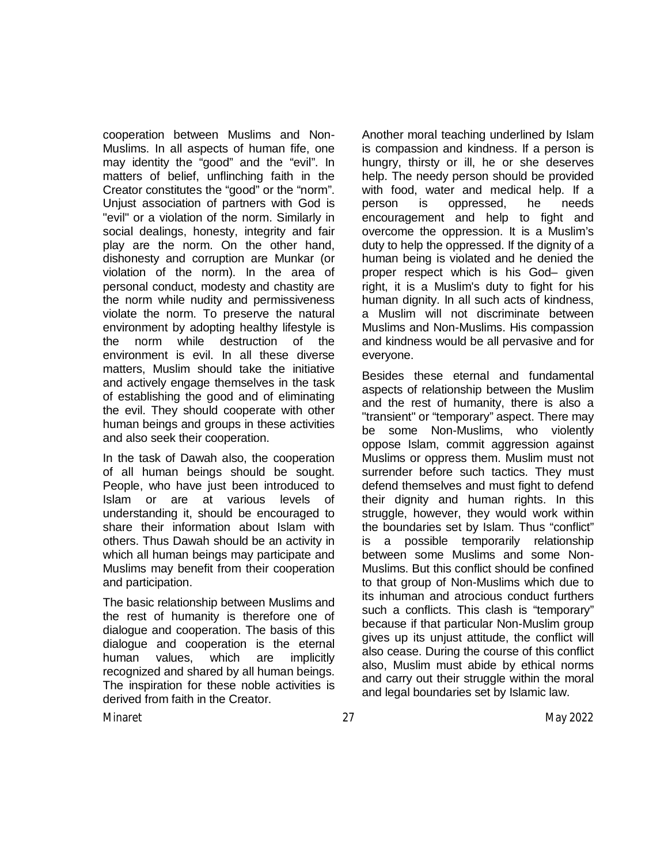cooperation between Muslims and Non-Muslims. In all aspects of human fife, one may identity the "good" and the "evil". In matters of belief, unflinching faith in the Creator constitutes the "good" or the "norm". Unjust association of partners with God is "evil" or a violation of the norm. Similarly in social dealings, honesty, integrity and fair play are the norm. On the other hand, dishonesty and corruption are Munkar (or violation of the norm). In the area of personal conduct, modesty and chastity are the norm while nudity and permissiveness violate the norm. To preserve the natural environment by adopting healthy lifestyle is the norm while destruction of the environment is evil. In all these diverse matters, Muslim should take the initiative and actively engage themselves in the task of establishing the good and of eliminating the evil. They should cooperate with other human beings and groups in these activities and also seek their cooperation.

In the task of Dawah also, the cooperation of all human beings should be sought. People, who have just been introduced to Islam or are at various levels of understanding it, should be encouraged to share their information about Islam with others. Thus Dawah should be an activity in which all human beings may participate and Muslims may benefit from their cooperation and participation.

The basic relationship between Muslims and the rest of humanity is therefore one of dialogue and cooperation. The basis of this dialogue and cooperation is the eternal human values, which are implicitly recognized and shared by all human beings. The inspiration for these noble activities is derived from faith in the Creator.

Another moral teaching underlined by Islam is compassion and kindness. If a person is hungry, thirsty or ill, he or she deserves help. The needy person should be provided with food, water and medical help. If a person is oppressed, he needs encouragement and help to fight and overcome the oppression. It is a Muslim's duty to help the oppressed. If the dignity of a human being is violated and he denied the proper respect which is his God– given right, it is a Muslim's duty to fight for his human dignity. In all such acts of kindness, a Muslim will not discriminate between Muslims and Non-Muslims. His compassion and kindness would be all pervasive and for everyone.

Besides these eternal and fundamental aspects of relationship between the Muslim and the rest of humanity, there is also a "transient" or "temporary" aspect. There may be some Non-Muslims, who violently oppose Islam, commit aggression against Muslims or oppress them. Muslim must not surrender before such tactics. They must defend themselves and must fight to defend their dignity and human rights. In this struggle, however, they would work within the boundaries set by Islam. Thus "conflict" is a possible temporarily relationship between some Muslims and some Non-Muslims. But this conflict should be confined to that group of Non-Muslims which due to its inhuman and atrocious conduct furthers such a conflicts. This clash is "temporary" because if that particular Non-Muslim group gives up its unjust attitude, the conflict will also cease. During the course of this conflict also, Muslim must abide by ethical norms and carry out their struggle within the moral and legal boundaries set by Islamic law.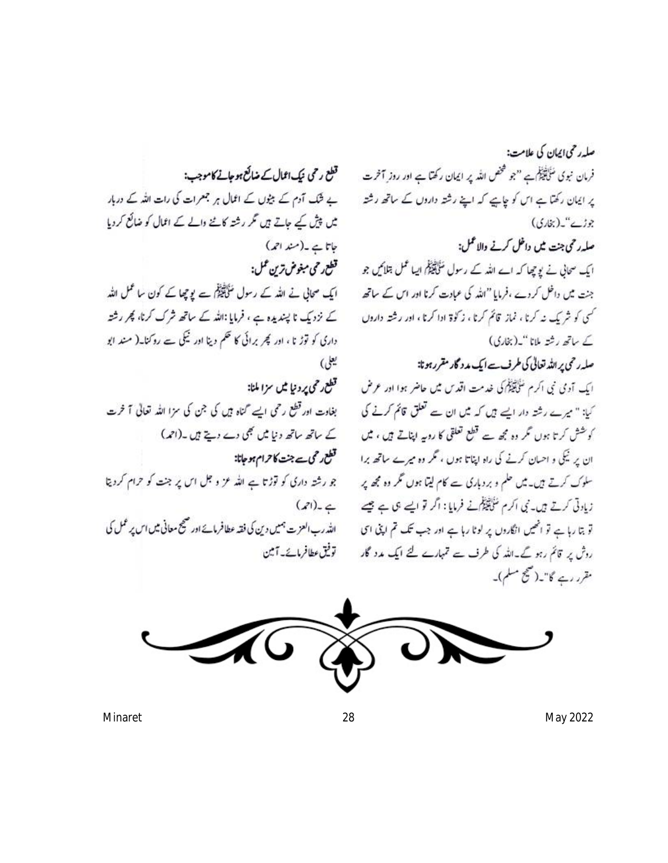قطع رحی نیک1ثال کے ضائع ہوجانے کاموجب: ے شک آدم کے بیٹوں کے اعمال ہر جعرات کی رات اللہ کے دربار میں پیش کیے جاتے ہیں تکر رشتہ کاننے والے کے اعمال کو ضائع کردیا جاتا ہے۔(مند احمہ) قطع رحي مبغوض ترين عمل: ایک صحابی نے اللہ کے رسول سَلِکَلِیْکُمْ سے یو چھا کے کون ساعمل اللہ کے نزد یک نا پسندیدہ ہے ، فرمایا :اللہ کے ساتھ شرک کرنا، پھر رشتہ داری کو توڑ نا ، اور کچر برائی کا تھم دینا اور ٹیکی سے روکنا۔( مند ابو یعلی) قطع رحمی پرونیا میں سزا ملنا:

بغادت اور قطع رحمی ایسے گناہ ہیں کی جن کی سزا اللہ تعالی آ خرت کے ساتھ ساتھ دنیا میں بھی دے دیتے ہیں۔(احمہ) قطع رحى ہے جنت كا حرام ہو جاتا: جو رشتہ داری کو توڑتا ہے اللہ عز و جل اس پر جنت کو حرام کردیتا  $(21)_{-6}$ الله رب العزيت ہميں دين کي فقہ عطافرمائے اور صحيح معاني ميں اس پر عمل کي توفيق عطافرمائے۔ آمین

صلہ رحمی ایمان کی علامت: فرمان نبوی مَنْ تَقِيَّةً} ہے "جو صحص اللہ پر ایمان رکھتا ہے اور روز آخرت پر ایمان رکھتا ہے اس کو چاہیے کہ اپنے رشتہ داروں کے ساتھ رشتہ جوزے"۔(بناری) صلہ رحمی جنت میں داخل کرنے والاعمل: ایک سحائی نے یو چھا کہ اے اللہ کے رسول سَنَافِیْکُمُ ایسا عمل بتلا میں جو جنت میں داخل کردے ،فرمایا "اللہ کی عمادت کرنا اور اس کے ساتھ کنی کو شر یک نه کرنا ، نماز قائم کرنا ، ز کوة ادا کرنا ، اور رشته داروں کے ساتھ رشتہ ملانا "۔(بخاری) صلہ رحمی پر اللہ تعالیٰ کی طرف سے ایک مد د گار مقرر ہو تا: ایک آدمی نبی اکرم سُلَکتَنگِلُم کی خدمت اقدس میں حاضر ہوا اور عرض کیا: " میرے رشتہ دار ایسے ہیں کہ میں ان سے تعلق قائم کرنے کی کو عشش کرتا ہوں تکر وہ مجھ سے قطع تعلقی کا روپہ اپناتے ہیں ، میں ان پر ٹیکی و احسان کرنے کی راہ اپناتا ہوں ، مگر وہ میرے ساتھ برا سلوک کرتے ہیں۔ میں حلم و بردباری سے کام لیتا ہوں گر وہ مجھ پر زیادتی کرتے ہیں۔ نبی اکرم سُلِکَیْکُم نے فرمایا : اگر تو ایسے ہی ہے جیسے تو بتا رہا ہے تو انھیں انگاروں پر لوٹا رہا ہے اور جب تک تم اپنی ای روش پر قائم رہو گے۔اللہ کی طرف سے تمہارے لئے ایک مدد گار مقرر رہے گا"۔(صحیح مسلم)۔



Minaret 28 May 2022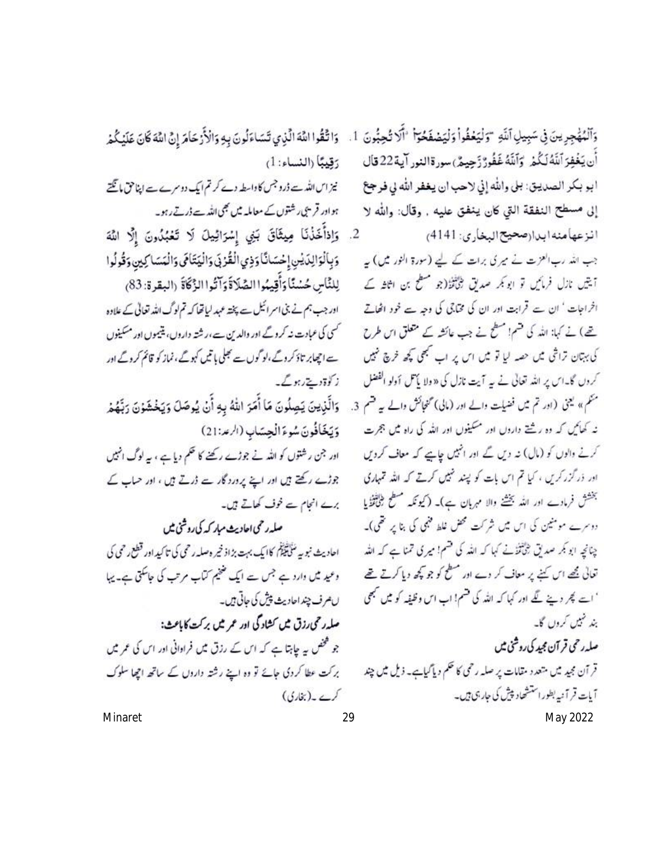وَٱلْمُهْجِرِينَ فِي سَبِيلِ ٱللَّهِ ۚ وَلْيَعْفُواْ وَلْيَصْفَحُوٓاْ ۚ ٱلَاتُحِبُّونَ 1. وَاتَّقُوا اللَّهَ الَّذِي تَسَاءَلُونَ بِهِ وَالْأَرْحَامَ إِنَّ اللَّهَ كَانَ عَلَيْكُمْ أَن يَغْفِرَ ٱللَّهُ لَكُمْ ۚ وَٱللَّهُ غَفُورٌ زَحِيمٌ ﴾ سورةالنور آية 22 قال ابو بكر الصديق: بلي والله إني لاحب ان يغفر الله بي فرجع إلى مسطح النفقة التي كان ينفق عليه , وقال: والله لا انزعهامنه ابدارصحيح البخاري: 4141)

جب اللہ رب العزت نے میر کی برات کے لیے (سورۃ النور میں) یہ آیتیں نازل فرمائیں تو ابو بکر صدیق طباقزا(جو منظح بن اثاثہ کے افراجات ' ان سے قرابت اور ان کی مخالی کی وجہ سے خود اٹھاتے تھ) نے کہا: اللہ کی ضم! مسطح نے جب عائشہ کے متعلق اس طرح کی بہتان تراشی میں حصہ لیا تو میں اس پر اب کبھی کچھ فرچ تھیں کروں گا۔اس پر اللہ تعالٰی نے پہ آیت نازل کی «ولا یاس اَولو الفضل منظم» یعنی (اور تم میں فضیلت والے اور (مالی) محفیاتش والے ہہ قسم 3. نه کهایم که ده رشتهٔ دارون اور مسکینون اور الله کی راه میں ججرت کرنے والوں کو (مال) نہ دیں گے اور انٹیں چاہیے کہ معاف کرویں اور ذر گزر کریں ، کیا تم اس بات کو پند خیس کرتے کہ اللہ تمہاری بخشش فرمادے اور اللہ بخشنے والا مہربان ہے)۔ (کیونکہ مسطح طبیعینی یا دوسرے مومنین کی اس میں شرکت محض غلط فنہی کی بنا پر تھی)۔ چنانچہ ابو بکر صدیق بٹی تفت کہا کہ اللہ کی قسم! میری تمنا ہے کہ اللہ تعالی تھے اس کہنے پر معاف کر دے اور مطح کو جو کچھ دیا کرتے تھے ' اسے م*یگر دینے* تھے اور کہا کہ اللہ کی قسم! اب اس وظیفہ کو میں مبھی بند نہیں کروں گا۔ صلەر حى قر آن مجيد كى روشنى ميں قر آن مجید میں متعدد مقامات پر صلہ رحمی کا حکم دیا گیاہے۔ ذیل میں چند آیات قر آنیہ بطوراستشحاد پیش کی جارجی ہیں۔ Minaret 29 May 2022

رَقِيبًا (النساء: 1)

نیز اس اللہ سے ڈرو جس کا داسطہ دے کرتم ایک دوسرے ہے اپنا حق ما گھتے ہوادر قریبی، شتوں کے معاملہ میں بھی اللہ ہے ڈرتے رہو۔

2. وَإِذَأَخَذْنَا مِيثَاقَ بَنِي إِسْرَائِيلَ لَا تَعْبُدُونَ إِلَّا اللَّهَ وَبِالْوَالِدَيْنِ إِحْسَانًا وَذِي الْقُرْبَى وَالْيَتَامَى وَالْمَسَاكِينِ وَقُولُوا لِلنَّاسِ حُسْنًا وَأَقِيمُوا الصَّلَاةَ وَآتُوا الزَّكَاةَ (البقرة: 83) اور جب ہم نے بنی اسر ائیل سے پختہ عہد لیاتھا کہ تم لوگ اللہ تعالی کے علاوہ

<sup>کس</sup>ی کی عبادت نہ کرو گے اور والدین ہے،رشتہ داروں، یتیموں اور مسکینوں سے اچھابر تاؤ کر د گے ،لو گوں سے تجلی یا تیں کہو گے ،نماز کو قائم کر د گے اور ز کوۃ دیتے ہوگے۔

وَالَّذِينَ يَصِلُونَ مَا أَمَرَ اللهُ بِهِ أَنْ يُوصَلَ وَيَخْشَوْنَ رَبَّهُمْ وَيَخَافُونَ سُوءَ الْحِسَابِ (الرعد: 21)

اور جن رشتوں کو اللہ نے جوڑے رکھنے کا حکم دیا ہے ، یہ لوگ انہیں جوڑے رکھتے ہیں اور اپنے پر درد گار ہے ڈرتے ہیں ، اور حساب کے برے انجام سے خوف کھاتے ہیں۔

صلہ رحمی اجادیث مبار کہ کی روشی میں احادیث نبویہ سُلَکَتْلُوْگُم کاایک بہت بڑاڈ خیر وصلہ رحمی کی تا کیداور قطع رحمی کی وعید میں وارد ہے جس سے ایک ضخیم کتاب مرتب کی جاسکتی ہے۔ یہا ں مرف چند احادیث پیش کی حاتی ہیں۔ صلہ رحمی رزق میں کشاد گی اور عمر میں برکت کاباعث: جو مخض یہ چاہتا ہے کہ اس کے رزق میں فرادانی اور اس کی عمر میں برکت عطا کردی جائے تو وہ اپنے رشتہ داردں کے ساتھ اچھا سلوک کرے ۔(بناری)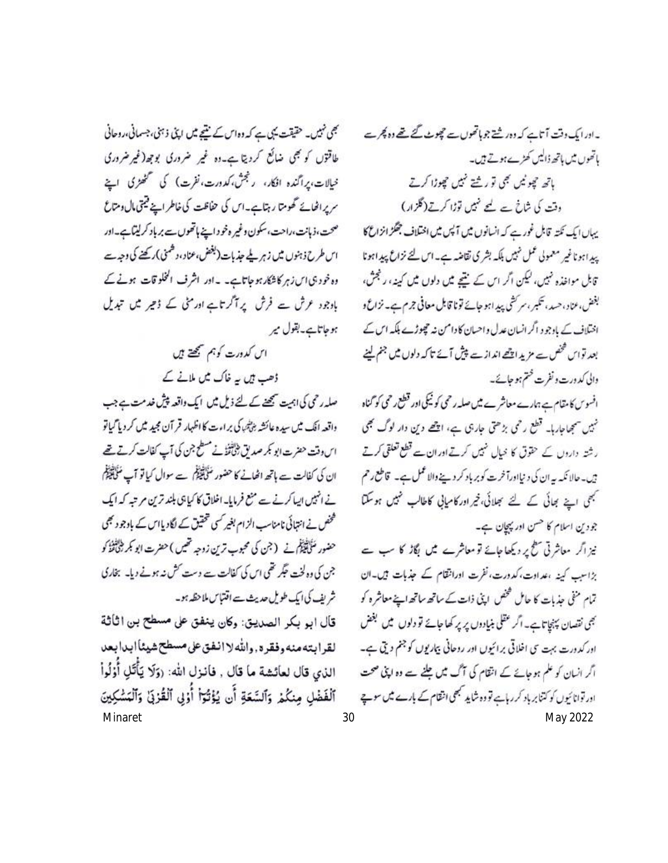بھی نہیں۔ حقیقت یہی ہے کہ دواس کے نتیجے میں اینی ذہنی، جسمانی،روحانی طاقتوں کو بھی ضائع کردیتا ہے۔وہ غیر ضروری بوجھ(غیر ضروری خیالات،پراگندہ افکار، رنجش،کد درت،نفرت) کی سمحھڑی اپنے سریراخائے گھومتا رہتاہے۔اس کی حفاظت کی خاطراپنے قیتی مال ومتاع صحت، ذہانت،راحت،سکون وغیر ہٹو داپنے ہاتھوںسے برباد کرلیٹاہے۔اور اس طرح ذہنوں میں زہر ملے جذبات(بفض،عناد،دشمنی)رکھنے کی دجہ سے وہ خود ہی اس زہر کاشکارہو جاتاہے۔ ۔اور اشرف الخلوقات ہونے کے بادجود عرش سے فرش پر آگر تاہ اور منی کے ذعیر میں تبدیل ہوجاتاہے۔بقول میر

> اس کدورت کوہم سمجھتے ہیں ڈھب ہیں یہ خاک میں ملانے کے

صلہ رحمی کی اہمت سمجھنے کے لئے ذیل میں ایک واقعہ پیش خدمت ہے جب واقعہ ایک میں سیدہ عائشہ بڑیٹیا کی براءت کا اظہار قر آن مجید میں کر دیا گیاتو اس وقت حضرت ابو کمر صد یق طبائینگ نے مسطح جن کی آپ کفالت کرتے تھے ان کی کفالت ہے ہاتھ اٹھانے کا حضور مُنَاَقِیْلُکُم سے سوال کیا تو آپ مُنَاقِیْکُمُ نے انہیں ایپا کرنے سے منع فرمایا۔ اخلاق کا کیا تک بلند ترین مرتبہ کہ ایک گھن نے انتہائی نامناسب الزام بغیر کسی تحقیق کے لگادیا اس کے بادجو دیجی حضور مَنَابِقَيْلَ نے (جن کی محبوب ترین زوجہ تھیں ) حضرت ابو بکر ڈیٹائٹڈ کو جن کی وہ لخت حکمر تھی اس کی کفالت سے دست کش نہ ہونے دیا۔ بخاری شریف کی ایک طویل حدیث سے اقتتاس ملاحظہ ہو۔

قال ابو بكر الصديق: وكان ينفق على مسطح بن اثاثة لقرابته منه وفقرة, والله لا انفق على مسطح شيئاً ابدابعد الذي قال لعائشة ما قال , فانزل الله: (وَلَا يَأْتَلِ أُوْلُواْ ٱلْفَضْلِ مِنكُمْ وَٱلسَّعَةِ أَن يُؤْتُوٓا أُوۡلِى ٱلْقُرْبَىٰ وَٱلۡمَسَٰكِينَ Minaret 30 May 2022

۔ادرایک دقت آتاہے کہ دور شتے جوماتھوں سے چیوٹ گئے تھے دو پُجر ہے باتھوں میں ہاتھ ڈالیں کھڑے ہوتے ہیں۔ باتھ چوٹیں بھی تورشتے نہیں چوڑا کرتے وقت کی شاخ سے لیے نہیں توڑا کرتے(گلزار) یہاں ایک نکتہ قابل غورے کہ انسانوں میں آپس میں اختلاف جنگز انزاع کا پیداہوناغیر معمولی عمل نہیں بلکہ بشر کی تقاضہ ہے۔اس لئے نزاع پیداہونا قابل مواخذہ نہیں، لیکن اگر اس کے نتیجے میں دلوں میں کینہ، رنجش، بغض، عناد، حسد، تکبر، سر کشی پید امو جائے تونا قابل معافی جرم ہے۔ نزاع و اختلاف کے بادجو د اگر انسان عدل واحسان کا دامن نہ حجوڑے بلکہ اس کے بعد تواس محنص سے مزید اچھے انداز سے پیش آئے تاکہ دلوں میں جنم لینے

والی کد درت و نفرت ختم ہو جائے۔ افسوس کامتام ہے ہمارے معاشرے میں صلہ رحمی کو ٹیکی اور قطع رحمی کو گناہ نہیں سمجھاجارہا۔ قطع رحمی بڑھتی جارہی ہے، اچھے دین دار لوگ بھی رشتہ داروں کے حقوق کا خیال کمپیں کرتے اور ان سے قطع تعلقی کرتے ژن۔حالا نکہ یہ ان کی د نیااورآخرت کو بر یاد کر دینے والا عمل ہے۔ قاطع رحم کبلی اینے بھائی کے لئے سجلائی، فیراور کامیابی کاطالب تمیں ہوسکتا

جودین اسلام کا حسن اور پہچان ہے۔ نیز اگر معاشرتی سطح پر دیکھا جائے تو معاشرے میں بگاڑ کا سب سے بڑاسب کینہ ،عدادت، کدورت، نفرت اورانتقام کے جذبات ہیں۔ان تمام منفی جذبات کا حامل فحض اپنی ذات کے ساتھ ساتھ اپنے معاشرہ کو بھی نقصان پہنچاتاہے۔ اگر عقلی بنیادوں پر پر کھا جائے تو دلوں میں بغض اور کدورت بہت ی اخلاقی برائیوں اور روحانی بیاریوں کو جنم دیتی ہے۔ اگر انسان کو علم ہوجائے کے انتظام کی آگ میں جلنے سے وہ اپنی صحت اور توانائیوں کو کتنا بر باد کر رہاہے تو وہ شاید مجھی انتقام کے بارے میں سوچ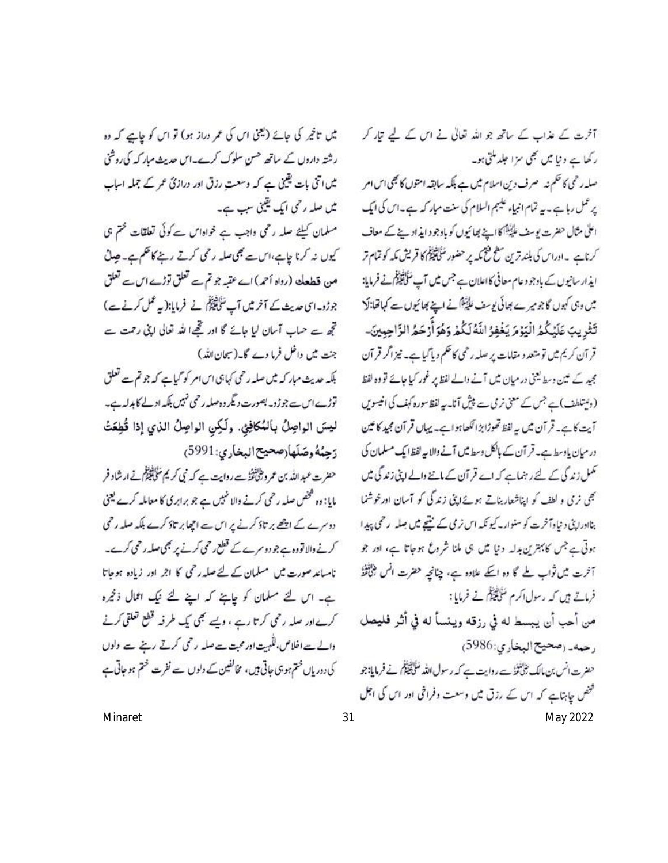میں تاخیر کی جائے (یعنی اس کی عمر دراز ہو) تو اس کو جاہے کہ وہ رشتہ داروں کے ساتھ حسن سلوک کرے۔اس حدیث مبار کہ کی روشنی میں اتنی بات یقینی ہے کہ وسعت رزق اور درازئ عمر کے جملہ اساب میں صلہ رحمی ایک یقینی سب ہے۔ مسلمان کیلئے صلہ رحمی واجب ہے خواداس سے کوئی تعلقات محتم ہی کیوں نہ کرنا چاہے،اس سے بھی صلہ رحمی کرتے رہنے کا حکم ہے۔ جدن مین قطعا<sup>ی</sup> (رواہ أحمہ) اے عقبہ جو تم سے تعلق توڑے اس سے تعلق جوڑو۔ای حدیث کے آخر میں آپ ٹنچھلج نے فرمایا:(یہ عمل کرنے ہے) تجھ ہے حیات آسان لیا جائے گا اور تھےا للہ تعالی اپنی رحمت سے جنت میں داخل فرما دے گا۔(سیحان اللہ) بلکہ حدیث مبار کہ میں صلہ رحمی کہاہی اس امر کو گیاہے کہ جو تم سے تعلق توڑے اس سے جوڑو۔ بصورت دیگر وہ صلہ رحمی نہیں بلکہ ادلے کا ہدلہ ہے۔ ليسَ الواصِلُ بِالمُكافِئِي. ولَكِنِ الواصِلُ الذي إذا قُطِعَتْ رَحِيُهُ وصَلَها(صحيح البخاري: 5991) حضرت عبد الله بن عمرو بٹی تفتہ ہے روایت ہے کہ نبی کریم مُنگی تیلِکُم نے ارشاد فر

مایا: وہ صحص صلہ رحمی کرنے والا شہیں ہے جو برابری کا معاملہ کرے یعنی دوسرے کے اچھے بر تاؤ کرنے پر اس سے اچھا بر تاؤ کرے بلکہ صلہ رحمی کرنے والا تووہ ہے جو دوسرے کے قطع رحمی کرنے پر بھی صلہ رحمی کرے۔ ناساعد صورت میں مسلمان کے لئے صلہ رحمی کا اجر اور زیادہ ہوجاتا ہے۔ اس لئے مسلمان کو چاہئے کہ اپنے لئے نیک اعمال ذخیرہ کرےاور صلہ رحمی کرتا رہے ، ویسے بھی پک طرفہ قطع تعلقی کرنے والے سے اخلاص، للّٰہیت اور محبت سے صلہ رحمی کرتے رہنے سے ولوں کی دوریاں ختم ہو ہی جاتی ہیں، مخالفین کے دلوں سے نفرت ختم ہو جاتی ہے

آخرت کے عذاب کے ساتھ جو اللہ تعالٰی نے اس کے لیے تیار کر ر کھا ہے د نیا میں نجی سزا جلد ملتی ہو۔ صلہ رحمی کا حکم نہ صرف دین اسلام میں ہے بلکہ سابقہ امتوں کا بھی اس امر پر عمل رہاہے۔پہ تمام انبیاء علیہم السلام کی سنت مبار کہ ہے۔اس کی ایک اعلیٰ مثال حضرت یوسف غایینگاکا اینے بھائیوں کو باوجود ایذ اوینے کے معاف کرناہے ۔اوراس کی بلند ترین سطح فتیحمہ پر حضور منتج پیکنج کا قریش مکہ کو تمام تر ایذار سانیوں کے باوجود عام معافی کااعلان ہے جس میں آپ مُلَاَ تَقِيْلُ نے فرمایا: میں وہی کہوں گا جومیرے بھائی یوسف علیّٰتِکانے اپنے بھائیوں سے کہاتھا:لکا تَثْرِيبَ عَلَيْكُمُ الْيَوْمَ يَغْفِرُ اللَّهُ لَكُمْ وَهُوَ أَرْحَمُ الرَّاحِمِينَ۔ قر آن کریم میں تو متعد د مقامات پر صلہ رحمی کا حکم دیا گیا ہے۔ نیز اگر قر آن مجید کے مین وسط یعنی در میان میں آنے والے لفظ پر غور کیا جائے تو وہ لفظ (ویستلطف)ہے جس کے معنی نرمی سے پیش آنا۔ یہ لفظ سورہ کہف کی انیسویں آیت کاے۔ قرآن میں یہ لفظ تھوڑا بڑا لکھاہواہے۔ یہاں قرآن مجید کا مین در میان یاد سط ہے۔ قر آن کے بالکل وسط میں آنے والا میہ لفظ ایک مسلمان کی تھمل زندگی کے لئے رہنماہے کہ اے قر آن کے ماننے والے اپنی زندگی میں نجی نرمی و لطف کو اپناشعار بناتے ہوئے اپنی زندگی کو آسان اورخوشنما بنااوراپنی دنیاوآخرت کو سنوار کیونکہ اس نرمی کے نتیجے میں جعلہ پرحمی پیدا ہوتی ہے جس کا بہترین بدلہ دنیا میں ہی ملنا شروع ہوجاتا ہے، اور جو آخرت میں ثواب لے گا وہ اسکے علاوہ ہے، چناخیہ حضرت انس بڑاتخذُ فرماتے ہیں کہ رسول اکرم شنگیکا نے فرمایا: من أحب أن يبسط له في رزقه وينسأ له في أثر فليصل رحمه\_ (صحيح البخاري: 5986) حضرت انس بن مالك بخلافتك روايت ہے كہ رسول الله مُنَافِقَةً كُمْ فَ فرمایا: جو فخص جا بتاہے کہ اس کے رزق میں وسعت وفراخی اور اس کی اجل Minaret 31 May 2022